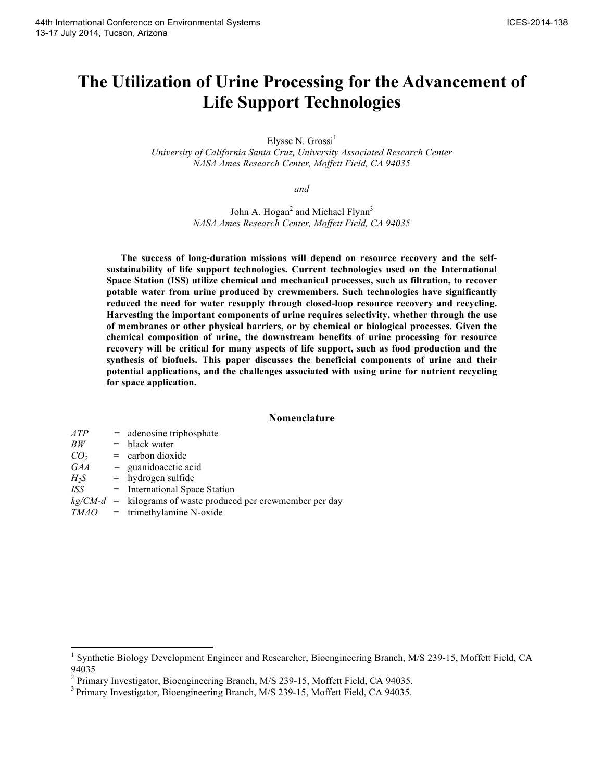# **The Utilization of Urine Processing for the Advancement of Life Support Technologies**

Elysse N.  $Grossi<sup>1</sup>$ 

*University of California Santa Cruz, University Associated Research Center NASA Ames Research Center, Moffett Field, CA 94035*

*and*

John A. Hogan<sup>2</sup> and Michael Flynn<sup>3</sup> *NASA Ames Research Center, Moffett Field, CA 94035*

**The success of long-duration missions will depend on resource recovery and the selfsustainability of life support technologies. Current technologies used on the International Space Station (ISS) utilize chemical and mechanical processes, such as filtration, to recover potable water from urine produced by crewmembers. Such technologies have significantly reduced the need for water resupply through closed-loop resource recovery and recycling. Harvesting the important components of urine requires selectivity, whether through the use of membranes or other physical barriers, or by chemical or biological processes. Given the chemical composition of urine, the downstream benefits of urine processing for resource recovery will be critical for many aspects of life support, such as food production and the synthesis of biofuels. This paper discusses the beneficial components of urine and their potential applications, and the challenges associated with using urine for nutrient recycling for space application.**

#### **Nomenclature**

| ATP             | $=$ adenosine triphosphate                                     |
|-----------------|----------------------------------------------------------------|
| BW              | $=$ black water                                                |
| CO <sub>2</sub> | $=$ carbon dioxide                                             |
| GAA             | $=$ guanidoacetic acid                                         |
| $H_2S$          | $=$ hydrogen sulfide                                           |
| ISS             | = International Space Station                                  |
|                 | $kg/CM-d$ = kilograms of waste produced per crewmember per day |
|                 | $TMAO =$ trimethylamine N-oxide                                |
|                 |                                                                |

<sup>&</sup>lt;sup>1</sup> Synthetic Biology Development Engineer and Researcher, Bioengineering Branch, M/S 239-15, Moffett Field, CA 94035<br><sup>2</sup> Primary Investigator, Bioengineering Branch, M/S 239-15, Moffett Field, CA 94035.

<sup>&</sup>lt;sup>3</sup> Primary Investigator, Bioengineering Branch, M/S 239-15, Moffett Field, CA 94035.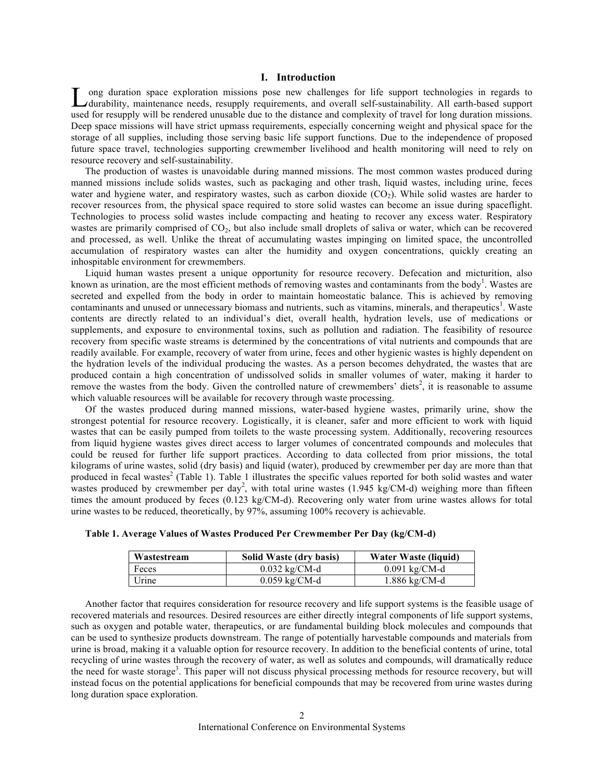# **I. Introduction**

ong duration space exploration missions pose new challenges for life support technologies in regards to Long duration space exploration missions pose new challenges for life support technologies in regards to durability, maintenance needs, resupply requirements, and overall self-sustainability. All earth-based support used for resupply will be rendered unusable due to the distance and complexity of travel for long duration missions. Deep space missions will have strict upmass requirements, especially concerning weight and physical space for the storage of all supplies, including those serving basic life support functions. Due to the independence of proposed future space travel, technologies supporting crewmember livelihood and health monitoring will need to rely on resource recovery and self-sustainability.

The production of wastes is unavoidable during manned missions. The most common wastes produced during manned missions include solids wastes, such as packaging and other trash, liquid wastes, including urine, feces water and hygiene water, and respiratory wastes, such as carbon dioxide (CO<sub>2</sub>). While solid wastes are harder to recover resources from, the physical space required to store solid wastes can become an issue during spaceflight. Technologies to process solid wastes include compacting and heating to recover any excess water. Respiratory wastes are primarily comprised of CO<sub>2</sub>, but also include small droplets of saliva or water, which can be recovered and processed, as well. Unlike the threat of accumulating wastes impinging on limited space, the uncontrolled accumulation of respiratory wastes can alter the humidity and oxygen concentrations, quickly creating an inhospitable environment for crewmembers.

Liquid human wastes present a unique opportunity for resource recovery. Defecation and micturition, also known as urination, are the most efficient methods of removing wastes and contaminants from the body<sup>1</sup>. Wastes are secreted and expelled from the body in order to maintain homeostatic balance. This is achieved by removing contaminants and unused or unnecessary biomass and nutrients, such as vitamins, minerals, and therapeutics<sup>1</sup>. Waste contents are directly related to an individual's diet, overall health, hydration levels, use of medications or supplements, and exposure to environmental toxins, such as pollution and radiation. The feasibility of resource recovery from specific waste streams is determined by the concentrations of vital nutrients and compounds that are readily available. For example, recovery of water from urine, feces and other hygienic wastes is highly dependent on the hydration levels of the individual producing the wastes. As a person becomes dehydrated, the wastes that are produced contain a high concentration of undissolved solids in smaller volumes of water, making it harder to remove the wastes from the body. Given the controlled nature of crewmembers' diets<sup>2</sup>, it is reasonable to assume which valuable resources will be available for recovery through waste processing.

Of the wastes produced during manned missions, water-based hygiene wastes, primarily urine, show the strongest potential for resource recovery. Logistically, it is cleaner, safer and more efficient to work with liquid wastes that can be easily pumped from toilets to the waste processing system. Additionally, recovering resources from liquid hygiene wastes gives direct access to larger volumes of concentrated compounds and molecules that could be reused for further life support practices. According to data collected from prior missions, the total kilograms of urine wastes, solid (dry basis) and liquid (water), produced by crewmember per day are more than that produced in fecal wastes<sup>2</sup> (Table 1). Table 1 illustrates the specific values reported for both solid wastes and water wastes produced by crewmember per day<sup>2</sup>, with total urine wastes (1.945 kg/CM-d) weighing more than fifteen times the amount produced by feces (0.123 kg/CM-d). Recovering only water from urine wastes allows for total urine wastes to be reduced, theoretically, by 97%, assuming 100% recovery is achievable.

| Wastestream | Solid Waste (dry basis) | Water Waste (liquid) |
|-------------|-------------------------|----------------------|
| Feces       | $0.032$ kg/CM-d         | $0.091$ kg/CM-d      |
| Urine       | $0.059$ kg/CM-d         | $1.886$ kg/CM-d      |

**Table 1. Average Values of Wastes Produced Per Crewmember Per Day (kg/CM-d)**

Another factor that requires consideration for resource recovery and life support systems is the feasible usage of recovered materials and resources. Desired resources are either directly integral components of life support systems, such as oxygen and potable water, therapeutics, or are fundamental building block molecules and compounds that can be used to synthesize products downstream. The range of potentially harvestable compounds and materials from urine is broad, making it a valuable option for resource recovery. In addition to the beneficial contents of urine, total recycling of urine wastes through the recovery of water, as well as solutes and compounds, will dramatically reduce the need for waste storage<sup>3</sup>. This paper will not discuss physical processing methods for resource recovery, but will instead focus on the potential applications for beneficial compounds that may be recovered from urine wastes during long duration space exploration.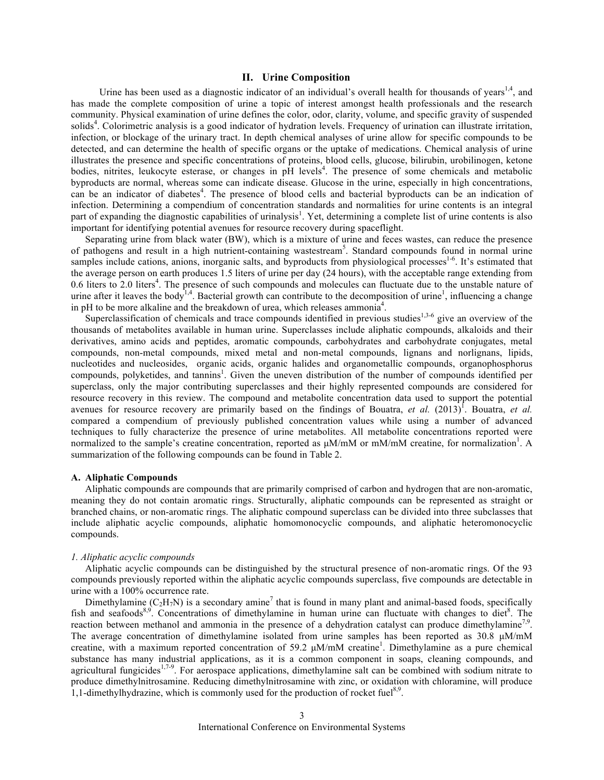# **II. Urine Composition**

Urine has been used as a diagnostic indicator of an individual's overall health for thousands of years<sup>1,4</sup>, and has made the complete composition of urine a topic of interest amongst health professionals and the research community. Physical examination of urine defines the color, odor, clarity, volume, and specific gravity of suspended solids<sup>4</sup>. Colorimetric analysis is a good indicator of hydration levels. Frequency of urination can illustrate irritation, infection, or blockage of the urinary tract. In depth chemical analyses of urine allow for specific compounds to be detected, and can determine the health of specific organs or the uptake of medications. Chemical analysis of urine illustrates the presence and specific concentrations of proteins, blood cells, glucose, bilirubin, urobilinogen, ketone bodies, nitrites, leukocyte esterase, or changes in pH levels<sup>4</sup>. The presence of some chemicals and metabolic byproducts are normal, whereas some can indicate disease. Glucose in the urine, especially in high concentrations, can be an indicator of diabetes<sup>4</sup>. The presence of blood cells and bacterial byproducts can be an indication of infection. Determining a compendium of concentration standards and normalities for urine contents is an integral part of expanding the diagnostic capabilities of urinalysis<sup>1</sup>. Yet, determining a complete list of urine contents is also important for identifying potential avenues for resource recovery during spaceflight.

Separating urine from black water (BW), which is a mixture of urine and feces wastes, can reduce the presence of pathogens and result in a high nutrient-containing wastestream<sup>5</sup>. Standard compounds found in normal urine samples include cations, anions, inorganic salts, and byproducts from physiological processes<sup>1-6</sup>. It's estimated that the average person on earth produces 1.5 liters of urine per day (24 hours), with the acceptable range extending from 0.6 liters to 2.0 liters<sup>4</sup>. The presence of such compounds and molecules can fluctuate due to the unstable nature of urine after it leaves the body<sup>1,4</sup>. Bacterial growth can contribute to the decomposition of urine<sup>1</sup>, influencing a change in pH to be more alkaline and the breakdown of urea, which releases ammonia<sup>4</sup>.

Superclassification of chemicals and trace compounds identified in previous studies<sup>1,3-6</sup> give an overview of the thousands of metabolites available in human urine. Superclasses include aliphatic compounds, alkaloids and their derivatives, amino acids and peptides, aromatic compounds, carbohydrates and carbohydrate conjugates, metal compounds, non-metal compounds, mixed metal and non-metal compounds, lignans and norlignans, lipids, nucleotides and nucleosides, organic acids, organic halides and organometallic compounds, organophosphorus compounds, polyketides, and tannins<sup>1</sup>. Given the uneven distribution of the number of compounds identified per superclass, only the major contributing superclasses and their highly represented compounds are considered for resource recovery in this review. The compound and metabolite concentration data used to support the potential avenues for resource recovery are primarily based on the findings of Bouatra, *et al.* (2013)<sup>1</sup>. Bouatra, *et al.* compared a compendium of previously published concentration values while using a number of advanced techniques to fully characterize the presence of urine metabolites. All metabolite concentrations reported were normalized to the sample's creatine concentration, reported as  $\mu$ M/mM or mM/mM creatine, for normalization<sup>1</sup>. A summarization of the following compounds can be found in Table 2.

# **A. Aliphatic Compounds**

Aliphatic compounds are compounds that are primarily comprised of carbon and hydrogen that are non-aromatic, meaning they do not contain aromatic rings. Structurally, aliphatic compounds can be represented as straight or branched chains, or non-aromatic rings. The aliphatic compound superclass can be divided into three subclasses that include aliphatic acyclic compounds, aliphatic homomonocyclic compounds, and aliphatic heteromonocyclic compounds.

## *1. Aliphatic acyclic compounds*

Aliphatic acyclic compounds can be distinguished by the structural presence of non-aromatic rings. Of the 93 compounds previously reported within the aliphatic acyclic compounds superclass, five compounds are detectable in urine with a 100% occurrence rate.

Dimethylamine ( $C_2H_7N$ ) is a secondary amine<sup>7</sup> that is found in many plant and animal-based foods, specifically fish and seafoods<sup>8,9</sup>. Concentrations of dimethylamine in human urine can fluctuate with changes to diet<sup>8</sup>. The reaction between methanol and ammonia in the presence of a dehydration catalyst can produce dimethylamine<sup>7,9</sup>. The average concentration of dimethylamine isolated from urine samples has been reported as  $30.8 \mu M/mM$ creatine, with a maximum reported concentration of 59.2  $\mu$ M/mM creatine<sup>1</sup>. Dimethylamine as a pure chemical substance has many industrial applications, as it is a common component in soaps, cleaning compounds, and agricultural fungicides<sup>1,7-9</sup>. For aerospace applications, dimethylamine salt can be combined with sodium nitrate to produce dimethylnitrosamine. Reducing dimethylnitrosamine with zinc, or oxidation with chloramine, will produce 1,1-dimethylhydrazine, which is commonly used for the production of rocket fuel<sup>8,9</sup>.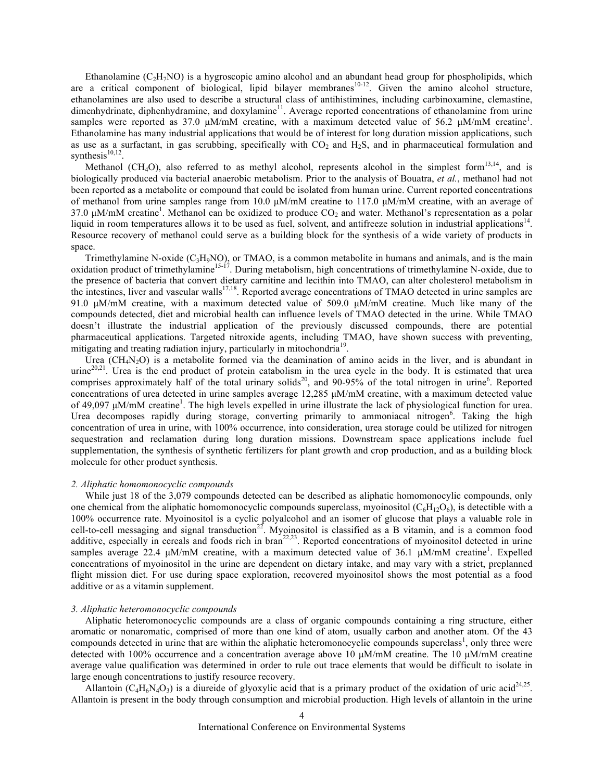Ethanolamine  $(C_2H_7NO)$  is a hygroscopic amino alcohol and an abundant head group for phospholipids, which are a critical component of biological, lipid bilayer membranes<sup>10-12</sup>. Given the amino alcohol structure, ethanolamines are also used to describe a structural class of antihistimines, including carbinoxamine, clemastine, dimenhydrinate, diphenhydramine, and doxylamine<sup>11</sup>. Average reported concentrations of ethanolamine from urine samples were reported as 37.0  $\mu$ M/mM creatine, with a maximum detected value of 56.2  $\mu$ M/mM creatine<sup>1</sup>. Ethanolamine has many industrial applications that would be of interest for long duration mission applications, such as use as a surfactant, in gas scrubbing, specifically with  $CO<sub>2</sub>$  and  $H<sub>2</sub>S$ , and in pharmaceutical formulation and synthesis $10,12$ .

Methanol (CH<sub>4</sub>O), also referred to as methyl alcohol, represents alcohol in the simplest form<sup>13,14</sup>, and is biologically produced via bacterial anaerobic metabolism. Prior to the analysis of Bouatra, *et al.*, methanol had not been reported as a metabolite or compound that could be isolated from human urine. Current reported concentrations of methanol from urine samples range from 10.0  $\mu$ M/mM creatine to 117.0  $\mu$ M/mM creatine, with an average of 37.0  $\mu$ M/mM creatine<sup>1</sup>. Methanol can be oxidized to produce  $CO_2$  and water. Methanol's representation as a polar liquid in room temperatures allows it to be used as fuel, solvent, and antifreeze solution in industrial applications<sup>14</sup>. Resource recovery of methanol could serve as a building block for the synthesis of a wide variety of products in space.

Trimethylamine N-oxide (C3H9NO), or TMAO, is a common metabolite in humans and animals, and is the main oxidation product of trimethylamine<sup>15-17</sup>. During metabolism, high concentrations of trimethylamine N-oxide, due to the presence of bacteria that convert dietary carnitine and lecithin into TMAO, can alter cholesterol metabolism in the intestines, liver and vascular walls<sup>17,18</sup>. Reported average concentrations of TMAO detected in urine samples are 91.0 µM/mM creatine, with a maximum detected value of 509.0 µM/mM creatine. Much like many of the compounds detected, diet and microbial health can influence levels of TMAO detected in the urine. While TMAO doesn't illustrate the industrial application of the previously discussed compounds, there are potential pharmaceutical applications. Targeted nitroxide agents, including TMAO, have shown success with preventing, mitigating and treating radiation injury, particularly in mitochondria<sup>19</sup>.

Urea  $(CH_4N_2O)$  is a metabolite formed via the deamination of amino acids in the liver, and is abundant in urine<sup>20,21</sup>. Urea is the end product of protein catabolism in the urea cycle in the body. It is estimated that urea comprises approximately half of the total urinary solids<sup>20</sup>, and 90-95% of the total nitrogen in urine<sup>6</sup>. Reported concentrations of urea detected in urine samples average 12,285 µM/mM creatine, with a maximum detected value of 49,097 µM/mM creatine<sup>1</sup>. The high levels expelled in urine illustrate the lack of physiological function for urea. Urea decomposes rapidly during storage, converting primarily to ammoniacal nitrogen<sup>6</sup>. Taking the high concentration of urea in urine, with 100% occurrence, into consideration, urea storage could be utilized for nitrogen sequestration and reclamation during long duration missions. Downstream space applications include fuel supplementation, the synthesis of synthetic fertilizers for plant growth and crop production, and as a building block molecule for other product synthesis.

#### *2. Aliphatic homomonocyclic compounds*

While just 18 of the 3,079 compounds detected can be described as aliphatic homomonocylic compounds, only one chemical from the aliphatic homomonocyclic compounds superclass, myoinositol  $(C_6H_1 O_6)$ , is detectible with a 100% occurrence rate. Myoinositol is a cyclic polyalcohol and an isomer of glucose that plays a valuable role in cell-to-cell messaging and signal transduction<sup>22</sup>. Myoinositol is classified as a B vitamin, and is a common food additive, especially in cereals and foods rich in bran<sup>22,23</sup>. Reported concentrations of myoinositol detected in urine samples average 22.4  $\mu$ M/mM creatine, with a maximum detected value of 36.1  $\mu$ M/mM creatine<sup>1</sup>. Expelled concentrations of myoinositol in the urine are dependent on dietary intake, and may vary with a strict, preplanned flight mission diet. For use during space exploration, recovered myoinositol shows the most potential as a food additive or as a vitamin supplement.

#### *3. Aliphatic heteromonocyclic compounds*

Aliphatic heteromonocyclic compounds are a class of organic compounds containing a ring structure, either aromatic or nonaromatic, comprised of more than one kind of atom, usually carbon and another atom. Of the 43 compounds detected in urine that are within the aliphatic heteromonocyclic compounds superclass<sup>1</sup>, only three were detected with 100% occurrence and a concentration average above 10  $\mu$ M/mM creatine. The 10  $\mu$ M/mM creatine average value qualification was determined in order to rule out trace elements that would be difficult to isolate in large enough concentrations to justify resource recovery.

Allantoin (C<sub>4</sub>H<sub>6</sub>N<sub>4</sub>O<sub>3</sub>) is a diureide of glyoxylic acid that is a primary product of the oxidation of uric acid<sup>24,25</sup>. Allantoin is present in the body through consumption and microbial production. High levels of allantoin in the urine

4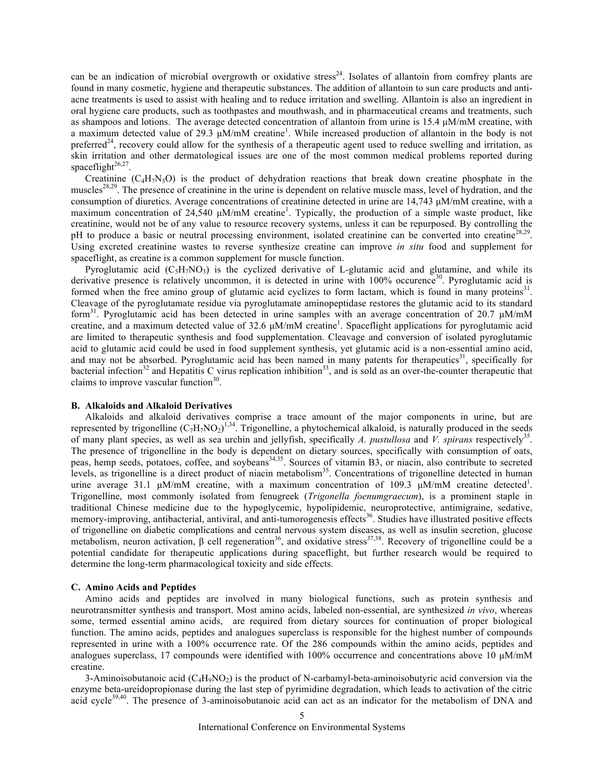can be an indication of microbial overgrowth or oxidative stress<sup>24</sup>. Isolates of allantoin from comfrey plants are found in many cosmetic, hygiene and therapeutic substances. The addition of allantoin to sun care products and antiacne treatments is used to assist with healing and to reduce irritation and swelling. Allantoin is also an ingredient in oral hygiene care products, such as toothpastes and mouthwash, and in pharmaceutical creams and treatments, such as shampoos and lotions. The average detected concentration of allantoin from urine is 15.4 µM/mM creatine, with a maximum detected value of 29.3  $\mu$ M/mM creatine<sup>1</sup>. While increased production of allantoin in the body is not preferred<sup>24</sup>, recovery could allow for the synthesis of a therapeutic agent used to reduce swelling and irritation, as skin irritation and other dermatological issues are one of the most common medical problems reported during spaceflight $26,27$ .

Creatinine  $(C_4H_7N_3O)$  is the product of dehydration reactions that break down creatine phosphate in the muscles<sup>28,29</sup>. The presence of creatinine in the urine is dependent on relative muscle mass, level of hydration, and the consumption of diuretics. Average concentrations of creatinine detected in urine are 14,743 µM/mM creatine, with a maximum concentration of 24,540  $\mu$ M/mM creatine<sup>1</sup>. Typically, the production of a simple waste product, like creatinine, would not be of any value to resource recovery systems, unless it can be repurposed. By controlling the pH to produce a basic or neutral processing environment, isolated creatinine can be converted into creatine<sup>28,29</sup>. Using excreted creatinine wastes to reverse synthesize creatine can improve *in situ* food and supplement for spaceflight, as creatine is a common supplement for muscle function.

Pyroglutamic acid  $(C_5H_7NO_3)$  is the cyclized derivative of L-glutamic acid and glutamine, and while its derivative presence is relatively uncommon, it is detected in urine with 100% occurence<sup>30</sup>. Pyroglutamic acid is formed when the free amino group of glutamic acid cyclizes to form lactam, which is found in many proteins $31$ . Cleavage of the pyroglutamate residue via pyroglutamate aminopeptidase restores the glutamic acid to its standard form<sup>31</sup>. Pyroglutamic acid has been detected in urine samples with an average concentration of 20.7  $\mu$ M/mM creatine, and a maximum detected value of 32.6  $\mu$ M/mM creatine<sup>1</sup>. Spaceflight applications for pyroglutamic acid are limited to therapeutic synthesis and food supplementation. Cleavage and conversion of isolated pyroglutamic acid to glutamic acid could be used in food supplement synthesis, yet glutamic acid is a non-essential amino acid, and may not be absorbed. Pyroglutamic acid has been named in many patents for therapeutics<sup>31</sup>, specifically for bacterial infection<sup>32</sup> and Hepatitis C virus replication inhibition<sup>33</sup>, and is sold as an over-the-counter therapeutic that claims to improve vascular function $30$ .

# **B. Alkaloids and Alkaloid Derivatives**

Alkaloids and alkaloid derivatives comprise a trace amount of the major components in urine, but are represented by trigonelline  $(C_7H_7NO_2)^{1,34}$ . Trigonelline, a phytochemical alkaloid, is naturally produced in the seeds of many plant species, as well as sea urchin and jellyfish, specifically *A. pustullosa* and *V. spirans* respectively35. The presence of trigonelline in the body is dependent on dietary sources, specifically with consumption of oats, peas, hemp seeds, potatoes, coffee, and soybeans<sup>34,35</sup>. Sources of vitamin B3, or niacin, also contribute to secreted levels, as trigonelline is a direct product of niacin metabolism<sup>35</sup>. Concentrations of trigonelline detected in human urine average 31.1  $\mu$ M/mM creatine, with a maximum concentration of 109.3  $\mu$ M/mM creatine detected<sup>1</sup>. Trigonelline, most commonly isolated from fenugreek (*Trigonella foenumgraecum*), is a prominent staple in traditional Chinese medicine due to the hypoglycemic, hypolipidemic, neuroprotective, antimigraine, sedative, memory-improving, antibacterial, antiviral, and anti-tumorogenesis effects<sup>36</sup>. Studies have illustrated positive effects of trigonelline on diabetic complications and central nervous system diseases, as well as insulin secretion, glucose metabolism, neuron activation, β cell regeneration<sup>36</sup>, and oxidative stress<sup>37,38</sup>. Recovery of trigonelline could be a potential candidate for therapeutic applications during spaceflight, but further research would be required to determine the long-term pharmacological toxicity and side effects.

#### **C. Amino Acids and Peptides**

Amino acids and peptides are involved in many biological functions, such as protein synthesis and neurotransmitter synthesis and transport. Most amino acids, labeled non-essential, are synthesized *in vivo*, whereas some, termed essential amino acids, are required from dietary sources for continuation of proper biological function. The amino acids, peptides and analogues superclass is responsible for the highest number of compounds represented in urine with a 100% occurrence rate. Of the 286 compounds within the amino acids, peptides and analogues superclass, 17 compounds were identified with 100% occurrence and concentrations above 10  $\mu$ M/mM creatine.

3-Aminoisobutanoic acid  $(C_4H_9NO_2)$  is the product of N-carbamyl-beta-aminoisobutyric acid conversion via the enzyme beta-ureidopropionase during the last step of pyrimidine degradation, which leads to activation of the citric acid cycle<sup>39,40</sup>. The presence of 3-aminoisobutanoic acid can act as an indicator for the metabolism of DNA and

5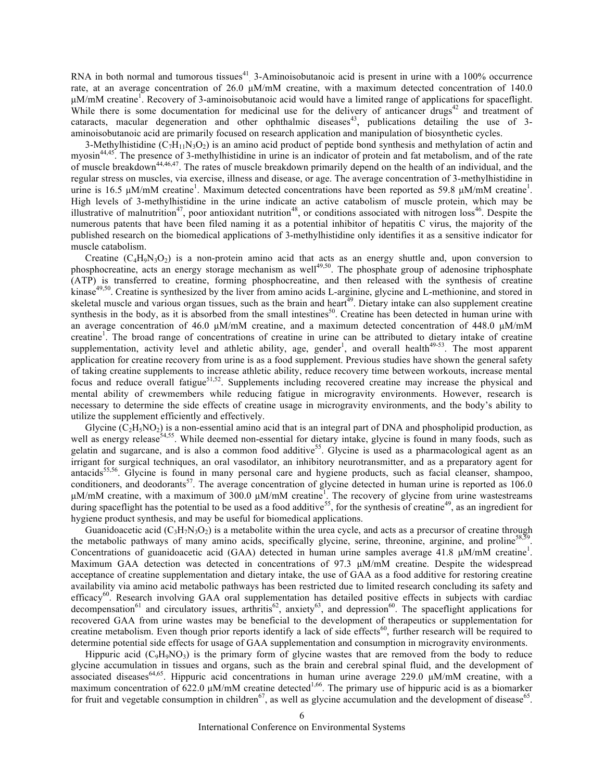RNA in both normal and tumorous tissues<sup>41</sup>. 3-Aminoisobutanoic acid is present in urine with a 100% occurrence rate, at an average concentration of 26.0  $\mu$ M/mM creatine, with a maximum detected concentration of 140.0 µM/mM creatine<sup>1</sup>. Recovery of 3-aminoisobutanoic acid would have a limited range of applications for spaceflight. While there is some documentation for medicinal use for the delivery of anticancer drugs<sup>42</sup> and treatment of cataracts, macular degeneration and other ophthalmic diseases<sup>43</sup>, publications detailing the use of 3aminoisobutanoic acid are primarily focused on research application and manipulation of biosynthetic cycles.

3-Methylhistidine ( $C_7H_{11}N_3O_2$ ) is an amino acid product of peptide bond synthesis and methylation of actin and myosin44,45. The presence of 3-methylhistidine in urine is an indicator of protein and fat metabolism, and of the rate of muscle breakdown<sup>44,46,47</sup>. The rates of muscle breakdown primarily depend on the health of an individual, and the regular stress on muscles, via exercise, illness and disease, or age. The average concentration of 3-methylhistidine in urine is 16.5 µM/mM creatine<sup>1</sup>. Maximum detected concentrations have been reported as 59.8 µM/mM creatine<sup>1</sup>. High levels of 3-methylhistidine in the urine indicate an active catabolism of muscle protein, which may be illustrative of malnutrition<sup>47</sup>, poor antioxidant nutrition<sup>48</sup>, or conditions associated with nitrogen loss<sup>46</sup>. Despite the numerous patents that have been filed naming it as a potential inhibitor of hepatitis C virus, the majority of the published research on the biomedical applications of 3-methylhistidine only identifies it as a sensitive indicator for muscle catabolism.

Creatine  $(C_4H_9N_3O_2)$  is a non-protein amino acid that acts as an energy shuttle and, upon conversion to phosphocreatine, acts an energy storage mechanism as well<sup>49,50</sup>. The phosphate group of adenosine triphosphate (ATP) is transferred to creatine, forming phosphocreatine, and then released with the synthesis of creatine kinase<sup>49,50</sup>. Creatine is synthesized by the liver from amino acids L-arginine, glycine and L-methionine, and stored in skeletal muscle and various organ tissues, such as the brain and heart<sup> $49$ </sup>. Dietary intake can also supplement creatine synthesis in the body, as it is absorbed from the small intestines<sup>50</sup>. Creatine has been detected in human urine with an average concentration of 46.0  $\mu$ M/mM creatine, and a maximum detected concentration of 448.0  $\mu$ M/mM creatine<sup>1</sup>. The broad range of concentrations of creatine in urine can be attributed to dietary intake of creatine supplementation, activity level and athletic ability, age, gender<sup>1</sup>, and overall health<sup>49-53</sup>. The most apparent application for creatine recovery from urine is as a food supplement. Previous studies have shown the general safety of taking creatine supplements to increase athletic ability, reduce recovery time between workouts, increase mental focus and reduce overall fatigue<sup>51,52</sup>. Supplements including recovered creatine may increase the physical and mental ability of crewmembers while reducing fatigue in microgravity environments. However, research is necessary to determine the side effects of creatine usage in microgravity environments, and the body's ability to utilize the supplement efficiently and effectively.

Glycine  $(C_2H_5NO_2)$  is a non-essential amino acid that is an integral part of DNA and phospholipid production, as well as energy release<sup>54,55</sup>. While deemed non-essential for dietary intake, glycine is found in many foods, such as gelatin and sugarcane, and is also a common food additive<sup>55</sup>. Glycine is used as a pharmacological agent as an irrigant for surgical techniques, an oral vasodilator, an inhibitory neurotransmitter, and as a preparatory agent for antacids<sup>55,56</sup>. Glycine is found in many personal care and hygiene products, such as facial cleanser, shampoo, conditioners, and deodorants<sup>57</sup>. The average concentration of glycine detected in human urine is reported as  $106.0$ µM/mM creatine, with a maximum of 300.0 µM/mM creatine<sup>1</sup>. The recovery of glycine from urine wastestreams during spaceflight has the potential to be used as a food additive<sup>55</sup>, for the synthesis of creatine<sup>49</sup>, as an ingredient for hygiene product synthesis, and may be useful for biomedical applications.

Guanidoacetic acid  $(C_3H_7N_3O_2)$  is a metabolite within the urea cycle, and acts as a precursor of creatine through the metabolic pathways of many amino acids, specifically glycine, serine, threonine, arginine, and proline<sup>58,</sup> Concentrations of guanidoacetic acid (GAA) detected in human urine samples average 41.8 µM/mM creatine<sup>1</sup>. Maximum GAA detection was detected in concentrations of 97.3  $\mu$ M/mM creatine. Despite the widespread acceptance of creatine supplementation and dietary intake, the use of GAA as a food additive for restoring creatine availability via amino acid metabolic pathways has been restricted due to limited research concluding its safety and efficacy<sup>60</sup>. Research involving GAA oral supplementation has detailed positive effects in subjects with cardiac decompensation<sup>61</sup> and circulatory issues, arthritis<sup>62</sup>, anxiety<sup>63</sup>, and depression<sup>60</sup>. The spaceflight applications for recovered GAA from urine wastes may be beneficial to the development of therapeutics or supplementation for creatine metabolism. Even though prior reports identify a lack of side effects $60$ , further research will be required to determine potential side effects for usage of GAA supplementation and consumption in microgravity environments.

Hippuric acid  $(C_9H_9NO_3)$  is the primary form of glycine wastes that are removed from the body to reduce glycine accumulation in tissues and organs, such as the brain and cerebral spinal fluid, and the development of associated diseases<sup>64,65</sup>. Hippuric acid concentrations in human urine average 229.0 µM/mM creatine, with a maximum concentration of  $622.0 \mu M/mM$  creatine detected<sup>1,66</sup>. The primary use of hippuric acid is as a biomarker for fruit and vegetable consumption in children<sup>67</sup>, as well as glycine accumulation and the development of disease<sup>65</sup>.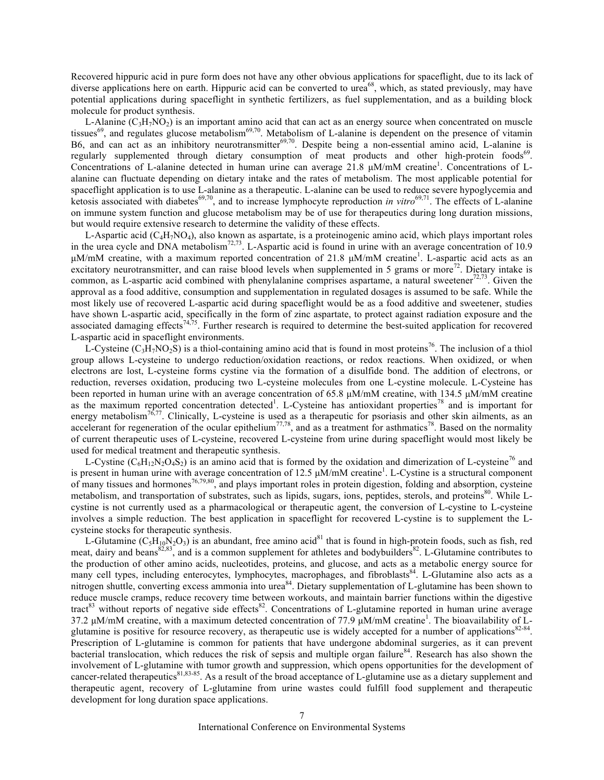Recovered hippuric acid in pure form does not have any other obvious applications for spaceflight, due to its lack of diverse applications here on earth. Hippuric acid can be converted to urea<sup>68</sup>, which, as stated previously, may have potential applications during spaceflight in synthetic fertilizers, as fuel supplementation, and as a building block molecule for product synthesis.

L-Alanine  $(C_3H_7NO_2)$  is an important amino acid that can act as an energy source when concentrated on muscle tissues<sup>69</sup>, and regulates glucose metabolism<sup>69,70</sup>. Metabolism of L-alanine is dependent on the presence of vitamin B6, and can act as an inhibitory neurotransmitter<sup>69,70</sup>. Despite being a non-essential amino acid, L-alanine is regularly supplemented through dietary consumption of meat products and other high-protein foods<sup>69</sup>. Concentrations of L-alanine detected in human urine can average 21.8 µM/mM creatine<sup>1</sup>. Concentrations of Lalanine can fluctuate depending on dietary intake and the rates of metabolism. The most applicable potential for spaceflight application is to use L-alanine as a therapeutic. L-alanine can be used to reduce severe hypoglycemia and ketosis associated with diabetes<sup>69,70</sup>, and to increase lymphocyte reproduction *in vitro*<sup>69,71</sup>. The effects of L-alanine on immune system function and glucose metabolism may be of use for therapeutics during long duration missions, but would require extensive research to determine the validity of these effects.

L-Aspartic acid  $(C_4H_7NO_4)$ , also known as aspartate, is a proteinogenic amino acid, which plays important roles in the urea cycle and DNA metabolism<sup>72,73</sup>. L-Aspartic acid is found in urine with an average concentration of 10.9 µM/mM creatine, with a maximum reported concentration of 21.8 µM/mM creatine<sup>1</sup>. L-aspartic acid acts as an excitatory neurotransmitter, and can raise blood levels when supplemented in 5 grams or more<sup>72</sup>. Dietary intake is common, as L-aspartic acid combined with phenylalanine comprises aspartame, a natural sweetener<sup>72,73</sup>. Given the approval as a food additive, consumption and supplementation in regulated dosages is assumed to be safe. While the most likely use of recovered L-aspartic acid during spaceflight would be as a food additive and sweetener, studies have shown L-aspartic acid, specifically in the form of zinc aspartate, to protect against radiation exposure and the associated damaging effects<sup>74,75</sup>. Further research is required to determine the best-suited application for recovered L-aspartic acid in spaceflight environments.

L-Cysteine  $(C_3H_7NO_2S)$  is a thiol-containing amino acid that is found in most proteins<sup>76</sup>. The inclusion of a thiol group allows L-cysteine to undergo reduction/oxidation reactions, or redox reactions. When oxidized, or when electrons are lost, L-cysteine forms cystine via the formation of a disulfide bond. The addition of electrons, or reduction, reverses oxidation, producing two L-cysteine molecules from one L-cystine molecule. L-Cysteine has been reported in human urine with an average concentration of 65.8 µM/mM creatine, with 134.5 µM/mM creatine as the maximum reported concentration detected<sup>1</sup>. L-Cysteine has antioxidant properties<sup>78</sup> and is important for energy metabolism<sup>76,77</sup>. Clinically, L-cysteine is used as a therapeutic for psoriasis and other skin ailments, as an accelerant for regeneration of the ocular epithelium<sup>77,78</sup>, and as a treatment for asthmatics<sup>78</sup>. Based on the normality of current therapeutic uses of L-cysteine, recovered L-cysteine from urine during spaceflight would most likely be used for medical treatment and therapeutic synthesis.

L-Cystine  $(C_6H_{12}N_2O_4S_2)$  is an amino acid that is formed by the oxidation and dimerization of L-cysteine<sup>76</sup> and is present in human urine with average concentration of 12.5  $\mu$ M/mM creatine<sup>1</sup>. L-Cystine is a structural component of many tissues and hormones<sup>76,79,80</sup>, and plays important roles in protein digestion, folding and absorption, cysteine metabolism, and transportation of substrates, such as lipids, sugars, ions, peptides, sterols, and proteins<sup>80</sup>. While Lcystine is not currently used as a pharmacological or therapeutic agent, the conversion of L-cystine to L-cysteine involves a simple reduction. The best application in spaceflight for recovered L-cystine is to supplement the Lcysteine stocks for therapeutic synthesis.

L-Glutamine  $(C_5H_{10}N_2O_3)$  is an abundant, free amino acid<sup>81</sup> that is found in high-protein foods, such as fish, red meat, dairy and beans<sup>82,83</sup>, and is a common supplement for athletes and bodybuilders<sup>82</sup>. L-Glutamine contributes to the production of other amino acids, nucleotides, proteins, and glucose, and acts as a metabolic energy source for many cell types, including enterocytes, lymphocytes, macrophages, and fibroblasts<sup>84</sup>. L-Glutamine also acts as a nitrogen shuttle, converting excess ammonia into urea<sup>84</sup>. Dietary supplementation of L-glutamine has been shown to reduce muscle cramps, reduce recovery time between workouts, and maintain barrier functions within the digestive tract<sup>83</sup> without reports of negative side effects<sup>82</sup>. Concentrations of L-glutamine reported in human urine average 37.2 µM/mM creatine, with a maximum detected concentration of 77.9 µM/mM creatine<sup>1</sup>. The bioavailability of Lglutamine is positive for resource recovery, as therapeutic use is widely accepted for a number of applications<sup>82-84</sup>. Prescription of L-glutamine is common for patients that have undergone abdominal surgeries, as it can prevent bacterial translocation, which reduces the risk of sepsis and multiple organ failure<sup>84</sup>. Research has also shown the involvement of L-glutamine with tumor growth and suppression, which opens opportunities for the development of cancer-related therapeutics<sup>81,83-85</sup>. As a result of the broad acceptance of L-glutamine use as a dietary supplement and therapeutic agent, recovery of L-glutamine from urine wastes could fulfill food supplement and therapeutic development for long duration space applications.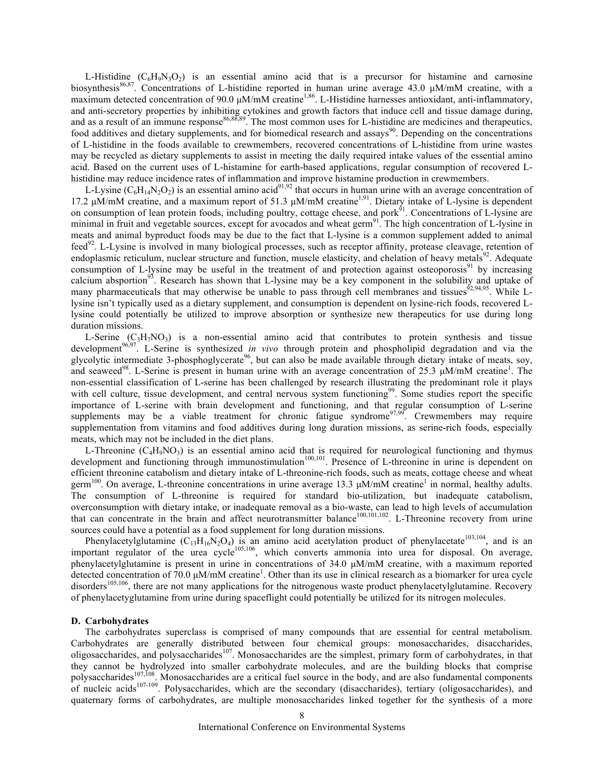L-Histidine  $(C_6H_9N_3O_2)$  is an essential amino acid that is a precursor for histamine and carnosine biosynthesis<sup>86,87</sup>. Concentrations of L-histidine reported in human urine average 43.0 µM/mM creatine, with a maximum detected concentration of 90.0 µM/mM creatine<sup>1,86</sup>. L-Histidine harnesses antioxidant, anti-inflammatory, and anti-secretory properties by inhibiting cytokines and growth factors that induce cell and tissue damage during, and as a result of an immune response<sup>86,88,89</sup>. The most common uses for L-histidine are medicines and therapeutics, food additives and dietary supplements, and for biomedical research and assays<sup>90</sup>. Depending on the concentrations of L-histidine in the foods available to crewmembers, recovered concentrations of L-histidine from urine wastes may be recycled as dietary supplements to assist in meeting the daily required intake values of the essential amino acid. Based on the current uses of L-histamine for earth-based applications, regular consumption of recovered Lhistidine may reduce incidence rates of inflammation and improve histamine production in crewmembers.

L-Lysine  $(C_6H_{14}N_2O_2)$  is an essential amino acid<sup>91,92</sup> that occurs in human urine with an average concentration of 17.2 μM/mM creatine, and a maximum report of 51.3 μM/mM creatine<sup>1,91</sup>. Dietary intake of L-lysine is dependent on consumption of lean protein foods, including poultry, cottage cheese, and pork $^{91}$ . Concentrations of L-lysine are minimal in fruit and vegetable sources, except for avocados and wheat germ $91$ . The high concentration of L-lysine in meats and animal byproduct foods may be due to the fact that L-lysine is a common supplement added to animal feed92. L-Lysine is involved in many biological processes, such as receptor affinity, protease cleavage, retention of endoplasmic reticulum, nuclear structure and function, muscle elasticity, and chelation of heavy metals $92$ . Adequate consumption of L-lysine may be useful in the treatment of and protection against osteoporosis $91$  by increasing calcium absportion<sup>93</sup>. Research has shown that L-lysine may be a key component in the solubility and uptake of many pharmaceuticals that may otherwise be unable to pass through cell membranes and tissues<sup>92,94,95</sup>. While Llysine isn't typically used as a dietary supplement, and consumption is dependent on lysine-rich foods, recovered Llysine could potentially be utilized to improve absorption or synthesize new therapeutics for use during long duration missions.

L-Serine  $(C_3H_7NO_3)$  is a non-essential amino acid that contributes to protein synthesis and tissue development<sup>96,97</sup>. L-Serine is synthesized *in vivo* through protein and phospholipid degradation and via the glycolytic intermediate 3-phosphoglycerate<sup>96</sup>, but can also be made available through dietary intake of meats, soy, and seaweed<sup>98</sup>. L-Serine is present in human urine with an average concentration of 25.3 µM/mM creatine<sup>1</sup>. The non-essential classification of L-serine has been challenged by research illustrating the predominant role it plays with cell culture, tissue development, and central nervous system functioning<sup>99</sup>. Some studies report the specific importance of L-serine with brain development and functioning, and that regular consumption of L-serine supplements may be a viable treatment for chronic fatigue syndrome<sup>97,99</sup>. Crewmembers may require supplementation from vitamins and food additives during long duration missions, as serine-rich foods, especially meats, which may not be included in the diet plans.

L-Threonine  $(C_4H_9NO_3)$  is an essential amino acid that is required for neurological functioning and thymus development and functioning through immunostimulation<sup>100,101</sup>. Presence of L-threonine in urine is dependent on efficient threonine catabolism and dietary intake of L-threonine-rich foods, such as meats, cottage cheese and wheat germ<sup>100</sup>. On average, L-threonine concentrations in urine average 13.3  $\mu$ M/mM creatine<sup>1</sup> in normal, healthy adults. The consumption of L-threonine is required for standard bio-utilization, but inadequate catabolism, overconsumption with dietary intake, or inadequate removal as a bio-waste, can lead to high levels of accumulation that can concentrate in the brain and affect neurotransmitter balance<sup>100,101,102</sup>. L-Threonine recovery from urine sources could have a potential as a food supplement for long duration missions.

Phenylacetylglutamine  $(C_{13}H_{16}N_2O_4)$  is an amino acid acetylation product of phenylacetate<sup>103,104</sup>, and is an important regulator of the urea cycle<sup>105,106</sup>, which converts ammonia into urea for disposal. On average, phenylacetylglutamine is present in urine in concentrations of 34.0 µM/mM creatine, with a maximum reported detected concentration of  $70.0 \mu M/mM$  creatine<sup>1</sup>. Other than its use in clinical research as a biomarker for urea cycle disorders<sup>105,106</sup>, there are not many applications for the nitrogenous waste product phenylacetylglutamine. Recovery of phenylacetyglutamine from urine during spaceflight could potentially be utilized for its nitrogen molecules.

#### **D. Carbohydrates**

The carbohydrates superclass is comprised of many compounds that are essential for central metabolism. Carbohydrates are generally distributed between four chemical groups: monosaccharides, disaccharides, oligosaccharides, and polysaccharides<sup>107</sup>. Monosaccharides are the simplest, primary form of carbohydrates, in that they cannot be hydrolyzed into smaller carbohydrate molecules, and are the building blocks that comprise polysaccharides<sup>107,108</sup>. Monosaccharides are a critical fuel source in the body, and are also fundamental components of nucleic acids<sup>107-109</sup>. Polysaccharides, which are the secondary (disaccharides), tertiary (oligosaccharides), and quaternary forms of carbohydrates, are multiple monosaccharides linked together for the synthesis of a more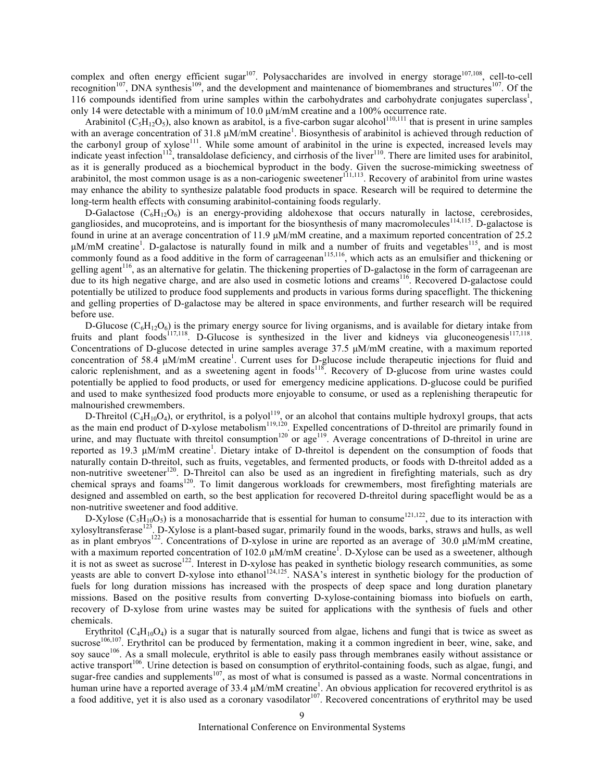complex and often energy efficient sugar<sup>107</sup>. Polysaccharides are involved in energy storage<sup>107,108</sup>, cell-to-cell recognition<sup>107</sup>, DNA synthesis<sup>109</sup>, and the development and maintenance of biomembranes and structures<sup>107</sup>. Of the 116 compounds identified from urine samples within the carbohydrates and carbohydrate conjugates superclass<sup>1</sup>, only 14 were detectable with a minimum of 10.0 µM/mM creatine and a 100% occurrence rate.

Arabinitol ( $C_5H_{12}O_5$ ), also known as arabitol, is a five-carbon sugar alcohol<sup>110,111</sup> that is present in urine samples with an average concentration of 31.8  $\mu$ M/mM creatine<sup>1</sup>. Biosynthesis of arabinitol is achieved through reduction of the carbonyl group of xylose<sup>111</sup>. While some amount of arabinitol in the urine is expected, increased levels may indicate yeast infection<sup>112</sup>, transaldolase deficiency, and cirrhosis of the liver<sup>110</sup>. There are limited uses for arabinitol, as it is generally produced as a biochemical byproduct in the body. Given the sucrose-mimicking sweetness of arabinitol, the most common usage is as a non-cariogenic sweetener $111,113$ . Recovery of arabinitol from urine wastes may enhance the ability to synthesize palatable food products in space. Research will be required to determine the long-term health effects with consuming arabinitol-containing foods regularly.

D-Galactose  $(C_6H_1, Q_6)$  is an energy-providing aldohexose that occurs naturally in lactose, cerebrosides, gangliosides, and mucoproteins, and is important for the biosynthesis of many macromolecules<sup>114,115</sup>. D-galactose is found in urine at an average concentration of 11.9 µM/mM creatine, and a maximum reported concentration of 25.2 µM/mM creatine<sup>1</sup>. D-galactose is naturally found in milk and a number of fruits and vegetables<sup>115</sup>, and is most commonly found as a food additive in the form of carrageenan<sup>115,116</sup>, which acts as an emulsifier and thickening or gelling agent<sup>116</sup>, as an alternative for gelatin. The thickening properties of D-galactose in the form of carrageenan are due to its high negative charge, and are also used in cosmetic lotions and creams<sup>116</sup>. Recovered D-galactose could potentially be utilized to produce food supplements and products in various forms during spaceflight. The thickening and gelling properties of D-galactose may be altered in space environments, and further research will be required before use.

D-Glucose  $(C_6H_{12}O_6)$  is the primary energy source for living organisms, and is available for dietary intake from fruits and plant foods<sup>117,118</sup>. D-Glucose is synthesized in the liver and kidneys via gluconeogenesis<sup>117,118</sup>. Concentrations of D-glucose detected in urine samples average 37.5 µM/mM creatine, with a maximum reported concentration of 58.4 µM/mM creatine<sup>1</sup>. Current uses for D-glucose include therapeutic injections for fluid and caloric replenishment, and as a sweetening agent in foods<sup>118</sup>. Recovery of D-glucose from urine wastes could potentially be applied to food products, or used for emergency medicine applications. D-glucose could be purified and used to make synthesized food products more enjoyable to consume, or used as a replenishing therapeutic for malnourished crewmembers.

D-Threitol ( $C_4H_{10}O_4$ ), or erythritol, is a polyol<sup>119</sup>, or an alcohol that contains multiple hydroxyl groups, that acts as the main end product of D-xylose metabolism<sup>119,120</sup>. Expelled concentrations of D-threitol are primarily found in urine, and may fluctuate with threitol consumption<sup>120</sup> or age<sup>119</sup>. Average concentrations of D-threitol in urine are reported as 19.3 µM/mM creatine<sup>1</sup>. Dietary intake of D-threitol is dependent on the consumption of foods that naturally contain D-threitol, such as fruits, vegetables, and fermented products, or foods with D-threitol added as a non-nutritive sweetener<sup>120</sup>. D-Threitol can also be used as an ingredient in firefighting materials, such as dry chemical sprays and foams<sup>120</sup>. To limit dangerous workloads for crewmembers, most firefighting materials are designed and assembled on earth, so the best application for recovered D-threitol during spaceflight would be as a non-nutritive sweetener and food additive.

D-Xylose  $(C_5H_{10}O_5)$  is a monosacharride that is essential for human to consume<sup>121,122</sup>, due to its interaction with xylosyltransferase<sup>123</sup>. D-Xylose is a plant-based sugar, primarily found in the woods, barks, straws and hulls, as well as in plant embryos122. Concentrations of D-xylose in urine are reported as an average of 30.0 µM/mM creatine, with a maximum reported concentration of 102.0  $\mu$ M/mM creatine<sup>1</sup>. D-Xylose can be used as a sweetener, although it is not as sweet as sucrose<sup>122</sup>. Interest in D-xylose has peaked in synthetic biology research communities, as some yeasts are able to convert D-xylose into ethanol<sup>124,125</sup>. NASA's interest in synthetic biology for the production of fuels for long duration missions has increased with the prospects of deep space and long duration planetary missions. Based on the positive results from converting D-xylose-containing biomass into biofuels on earth, recovery of D-xylose from urine wastes may be suited for applications with the synthesis of fuels and other chemicals.

Erythritol ( $C_4H_{10}O_4$ ) is a sugar that is naturally sourced from algae, lichens and fungi that is twice as sweet as sucrose<sup>106,107</sup>. Erythritol can be produced by fermentation, making it a common ingredient in beer, wine, sake, and soy sauce<sup>106</sup>. As a small molecule, erythritol is able to easily pass through membranes easily without assistance or active transport<sup>106</sup>. Urine detection is based on consumption of erythritol-containing foods, such as algae, fungi, and sugar-free candies and supplements<sup>107</sup>, as most of what is consumed is passed as a waste. Normal concentrations in human urine have a reported average of 33.4  $\mu$ M/mM creatine<sup>1</sup>. An obvious application for recovered erythritol is as a food additive, yet it is also used as a coronary vasodilator<sup>107</sup>. Recovered concentrations of erythritol may be used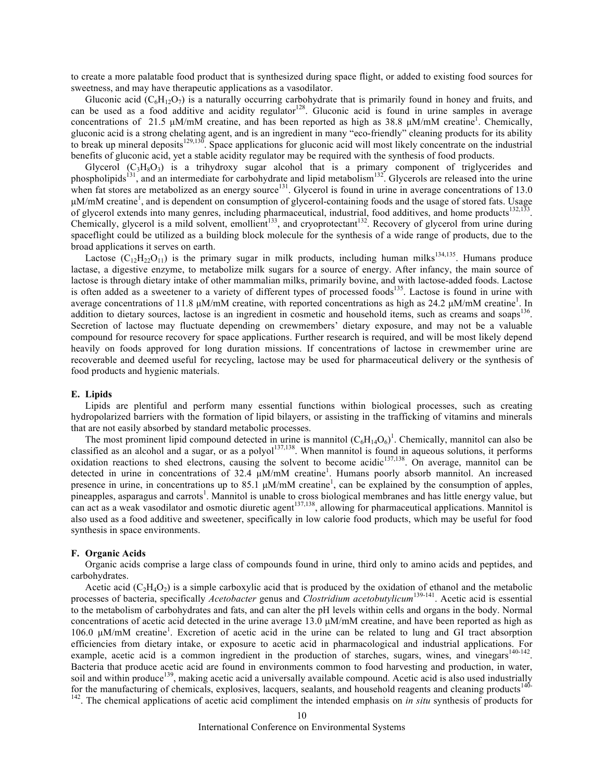to create a more palatable food product that is synthesized during space flight, or added to existing food sources for sweetness, and may have therapeutic applications as a vasodilator.

Gluconic acid  $(C_6H_{12}O_7)$  is a naturally occurring carbohydrate that is primarily found in honey and fruits, and can be used as a food additive and acidity regulator<sup>128</sup>. Gluconic acid is found in urine samples in average concentrations of 21.5  $\mu$ M/mM creatine, and has been reported as high as 38.8  $\mu$ M/mM creatine<sup>1</sup>. Chemically, gluconic acid is a strong chelating agent, and is an ingredient in many "eco-friendly" cleaning products for its ability to break up mineral deposits<sup>129,130</sup>. Space applications for gluconic acid will most likely concentrate on the industrial benefits of gluconic acid, yet a stable acidity regulator may be required with the synthesis of food products.

Glycerol  $(C_3H_8O_3)$  is a trihydroxy sugar alcohol that is a primary component of triglycerides and phospholipids<sup>131</sup>, and an intermediate for carbohydrate and lipid metabolism<sup>132</sup>. Glycerols are released into the urine when fat stores are metabolized as an energy source<sup>131</sup>. Glycerol is found in urine in average concentrations of  $13.0$ µM/mM creatine<sup>1</sup>, and is dependent on consumption of glycerol-containing foods and the usage of stored fats. Usage of glycerol extends into many genres, including pharmaceutical, industrial, food additives, and home products $132,133$ Chemically, glycerol is a mild solvent, emollient<sup>133</sup>, and cryoprotectant<sup>132</sup>. Recovery of glycerol from urine during spaceflight could be utilized as a building block molecule for the synthesis of a wide range of products, due to the broad applications it serves on earth.

Lactose  $(C_{12}H_{22}O_{11})$  is the primary sugar in milk products, including human milks<sup>134,135</sup>. Humans produce lactase, a digestive enzyme, to metabolize milk sugars for a source of energy. After infancy, the main source of lactose is through dietary intake of other mammalian milks, primarily bovine, and with lactose-added foods. Lactose is often added as a sweetener to a variety of different types of processed foods<sup>135</sup>. Lactose is found in urine with average concentrations of 11.8  $\mu$ M/mM creatine, with reported concentrations as high as 24.2  $\mu$ M/mM creatine<sup>1</sup>. In addition to dietary sources, lactose is an ingredient in cosmetic and household items, such as creams and soaps<sup>136</sup>. Secretion of lactose may fluctuate depending on crewmembers' dietary exposure, and may not be a valuable compound for resource recovery for space applications. Further research is required, and will be most likely depend heavily on foods approved for long duration missions. If concentrations of lactose in crewmember urine are recoverable and deemed useful for recycling, lactose may be used for pharmaceutical delivery or the synthesis of food products and hygienic materials.

## **E. Lipids**

Lipids are plentiful and perform many essential functions within biological processes, such as creating hydropolarized barriers with the formation of lipid bilayers, or assisting in the trafficking of vitamins and minerals that are not easily absorbed by standard metabolic processes.

The most prominent lipid compound detected in urine is mannitol  $(C_6H_{14}O_6)^1$ . Chemically, mannitol can also be classified as an alcohol and a sugar, or as a polyol $137,138$ . When mannitol is found in aqueous solutions, it performs oxidation reactions to shed electrons, causing the solvent to become acidic<sup>137,138</sup>. On average, mannitol can be detected in urine in concentrations of 32.4  $\mu$ M/mM creatine<sup>1</sup>. Humans poorly absorb mannitol. An increased presence in urine, in concentrations up to 85.1  $\mu$ M/mM creatine<sup>1</sup>, can be explained by the consumption of apples, pineapples, asparagus and carrots<sup>1</sup>. Mannitol is unable to cross biological membranes and has little energy value, but can act as a weak vasodilator and osmotic diuretic agent<sup>137,138</sup>, allowing for pharmaceutical applications. Mannitol is also used as a food additive and sweetener, specifically in low calorie food products, which may be useful for food synthesis in space environments.

## **F. Organic Acids**

Organic acids comprise a large class of compounds found in urine, third only to amino acids and peptides, and carbohydrates.

Acetic acid  $(C_2H_4O_2)$  is a simple carboxylic acid that is produced by the oxidation of ethanol and the metabolic processes of bacteria, specifically *Acetobacter* genus and *Clostridium acetobutylicum*139-141. Acetic acid is essential to the metabolism of carbohydrates and fats, and can alter the pH levels within cells and organs in the body. Normal concentrations of acetic acid detected in the urine average 13.0 µM/mM creatine, and have been reported as high as 106.0 μM/mM creatine<sup>1</sup>. Excretion of acetic acid in the urine can be related to lung and GI tract absorption efficiencies from dietary intake, or exposure to acetic acid in pharmacological and industrial applications. For example, acetic acid is a common ingredient in the production of starches, sugars, wines, and vinegars<sup>140-142</sup>. Bacteria that produce acetic acid are found in environments common to food harvesting and production, in water, soil and within produce<sup>139</sup>, making acetic acid a universally available compound. Acetic acid is also used industrially for the manufacturing of chemicals, explosives, lacquers, sealants, and household reagents and cleaning products<sup>140-</sup> <sup>142</sup>. The chemical applications of acetic acid compliment the intended emphasis on *in situ* synthesis of products for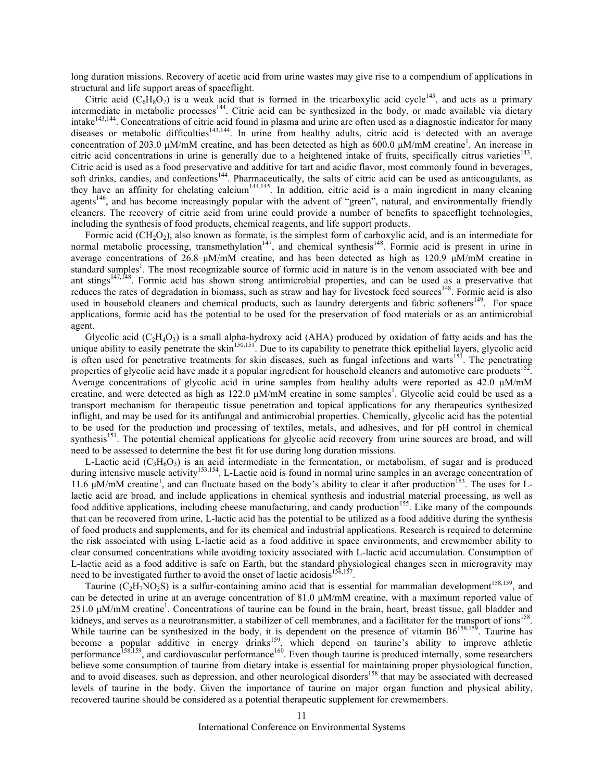long duration missions. Recovery of acetic acid from urine wastes may give rise to a compendium of applications in structural and life support areas of spaceflight.

Citric acid  $(C_6H_8O_7)$  is a weak acid that is formed in the tricarboxylic acid cycle<sup>143</sup>, and acts as a primary intermediate in metabolic processes<sup>144</sup>. Citric acid can be synthesized in the body, or made available via dietary intake<sup>143,144</sup>. Concentrations of citric acid found in plasma and urine are often used as a diagnostic indicator for many diseases or metabolic difficulties<sup>143,144</sup>. In urine from healthy adults, citric acid is detected with an average concentration of 203.0  $\mu$ M/mM creatine, and has been detected as high as 600.0  $\mu$ M/mM creatine<sup>1</sup>. An increase in citric acid concentrations in urine is generally due to a heightened intake of fruits, specifically citrus varieties<sup>143</sup>. Citric acid is used as a food preservative and additive for tart and acidic flavor, most commonly found in beverages, soft drinks, candies, and confections<sup>144</sup>. Pharmaceutically, the salts of citric acid can be used as anticoagulants, as they have an affinity for chelating calcium<sup>144,145</sup>. In addition, citric acid is a main ingredient in many cleaning agents<sup>146</sup>, and has become increasingly popular with the advent of "green", natural, and environmentally friendly cleaners. The recovery of citric acid from urine could provide a number of benefits to spaceflight technologies, including the synthesis of food products, chemical reagents, and life support products.

Formic acid (CH<sub>2</sub>O<sub>2</sub>), also known as formate, is the simplest form of carboxylic acid, and is an intermediate for normal metabolic processing, transmethylation<sup>147</sup>, and chemical synthesis<sup>148</sup>. Formic acid is present in urine in average concentrations of 26.8  $\mu$ M/mM creatine, and has been detected as high as 120.9  $\mu$ M/mM creatine in standard samples<sup>1</sup>. The most recognizable source of formic acid in nature is in the venom associated with bee and ant stings<sup>147,148</sup>. Formic acid has shown strong antimicrobial properties, and can be used as a preservative that reduces the rates of degradation in biomass, such as straw and hay for livestock feed sources<sup>148</sup>. Formic acid is also used in household cleaners and chemical products, such as laundry detergents and fabric softeners<sup>149</sup>. For space applications, formic acid has the potential to be used for the preservation of food materials or as an antimicrobial agent.

Glycolic acid  $(C_2H_4O_3)$  is a small alpha-hydroxy acid (AHA) produced by oxidation of fatty acids and has the unique ability to easily penetrate the skin<sup>150,151</sup>. Due to its capability to penetrate thick epithelial layers, glycolic acid is often used for penetrative treatments for skin diseases, such as fungal infections and warts<sup>151</sup>. The penetrating properties of glycolic acid have made it a popular ingredient for household cleaners and automotive care products<sup>152</sup>. Average concentrations of glycolic acid in urine samples from healthy adults were reported as 42.0  $\mu$ M/mM creatine, and were detected as high as  $122.0 \mu M/mM$  creatine in some samples<sup>1</sup>. Glycolic acid could be used as a transport mechanism for therapeutic tissue penetration and topical applications for any therapeutics synthesized inflight, and may be used for its antifungal and antimicrobial properties. Chemically, glycolic acid has the potential to be used for the production and processing of textiles, metals, and adhesives, and for pH control in chemical synthesis<sup>151</sup>. The potential chemical applications for glycolic acid recovery from urine sources are broad, and will need to be assessed to determine the best fit for use during long duration missions.

L-Lactic acid  $(C_3H_6O_3)$  is an acid intermediate in the fermentation, or metabolism, of sugar and is produced during intensive muscle activity<sup>153,154</sup>. L-Lactic acid is found in normal urine samples in an average concentration of 11.6 µM/mM creatine<sup>1</sup>, and can fluctuate based on the body's ability to clear it after production<sup>153</sup>. The uses for Llactic acid are broad, and include applications in chemical synthesis and industrial material processing, as well as food additive applications, including cheese manufacturing, and candy production<sup>155</sup>. Like many of the compounds that can be recovered from urine, L-lactic acid has the potential to be utilized as a food additive during the synthesis of food products and supplements, and for its chemical and industrial applications. Research is required to determine the risk associated with using L-lactic acid as a food additive in space environments, and crewmember ability to clear consumed concentrations while avoiding toxicity associated with L-lactic acid accumulation. Consumption of L-lactic acid as a food additive is safe on Earth, but the standard physiological changes seen in microgravity may need to be investigated further to avoid the onset of lactic acidosis<sup>156,157</sup>.

Taurine (C<sub>2</sub>H<sub>7</sub>NO<sub>3</sub>S) is a sulfur-containing amino acid that is essential for mammalian development<sup>158,159</sup>, and can be detected in urine at an average concentration of 81.0 µM/mM creatine, with a maximum reported value of 251.0 μM/mM creatine<sup>1</sup>. Concentrations of taurine can be found in the brain, heart, breast tissue, gall bladder and kidneys, and serves as a neurotransmitter, a stabilizer of cell membranes, and a facilitator for the transport of ions<sup>158</sup>. While taurine can be synthesized in the body, it is dependent on the presence of vitamin  $B6^{158,159}$ . Taurine has become a popular additive in energy drinks<sup>159</sup>, which depend on taurine's ability to improve athletic performance<sup>158,159</sup>, and cardiovascular performance<sup>160</sup>. Even though taurine is produced internally, some researchers believe some consumption of taurine from dietary intake is essential for maintaining proper physiological function, and to avoid diseases, such as depression, and other neurological disorders<sup>158</sup> that may be associated with decreased levels of taurine in the body. Given the importance of taurine on major organ function and physical ability, recovered taurine should be considered as a potential therapeutic supplement for crewmembers.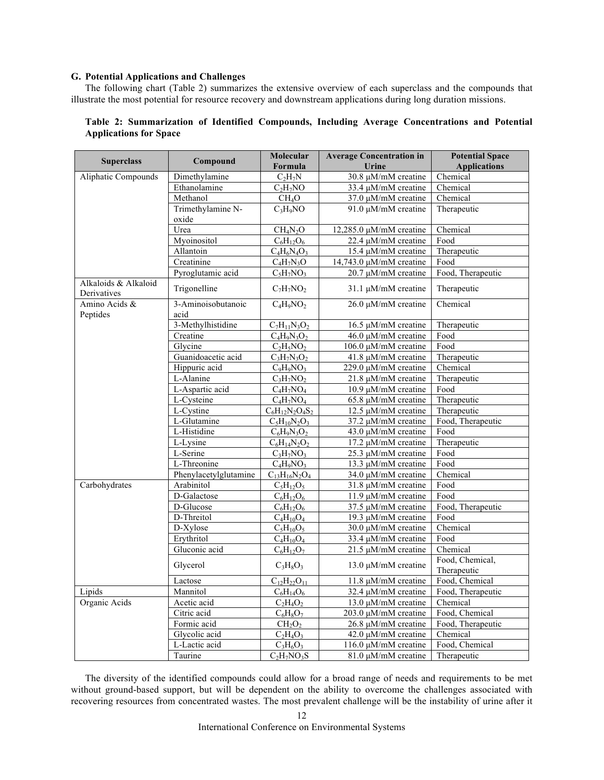## **G. Potential Applications and Challenges**

The following chart (Table 2) summarizes the extensive overview of each superclass and the compounds that illustrate the most potential for resource recovery and downstream applications during long duration missions.

#### **Superclass Compound Molecular Formula Average Concentration in Urine Potential Space Applications** Aliphatic Compounds Dimethylamine  $C_2H_7N$  30.8  $\mu$ M/mM creatine Chemical Ethanolamine C<sub>2</sub>H<sub>7</sub>NO 33.4  $\mu$ M/mM creatine Chemical Ethanolamine  $C_2H_7NO$  33.4  $\mu$ M/mM creatine<br>Methanol CH<sub>4</sub>O 37.0  $\mu$ M/mM creatine  $CH<sub>4</sub>O$  37.0  $\mu$ M/mM creatine Chemical Trimethylamine Noxide  $C_3H_9NO$  91.0  $\mu$ M/mM creatine Therapeutic Urea  $CH_4N_2O$  12,285.0  $\mu$ M/mM creatine Chemical Myoinositol  $C_6H_{12}O_6$  22.4  $\mu$ M/mM creatine Food<br>Allantoin  $C_4H_6N_4O_3$  15.4  $\mu$ M/mM creatine Therapeutic Allantoin  $C_4H_6N_4O_3$  15.4  $\mu$ M/mM creatine Creatinine  $C_4H_7N_3O$  14,743.0  $\mu$ M/mM creatine Food Pyroglutamic acid  $C_5H_7NO_3$  20.7  $\mu$ M/mM creatine Food, Therapeutic Alkaloids & Alkaloid Alkaloids & Alkaloid Trigonelline  $C_7H_7NO_2$  31.1 µM/mM creatine Therapeutic Derivatives Amino Acids & Peptides 3-Aminoisobutanoic acid  $C_4H_9NO_2$  26.0  $\mu$ M/mM creatine Chemical 3-Methylhistidine  $C_7H_{11}N_3O_2$  16.5  $\mu$ M/mM creatine Therapeutic<br>Creatine  $C_4H_9N_3O_2$  46.0  $\mu$ M/mM creatine Food Creatine C<sub>4</sub>H<sub>9</sub>N<sub>3</sub>O<sub>2</sub> 46.0 µM/mM creatine Food<br>Glycine C<sub>2</sub>H<sub>5</sub>NO<sub>2</sub> 106.0 µM/mM creatine Food Glycine  $C_2H_5NO_2$  106.0  $\mu$ M/mM creatine Food<br>Guanidoacetic acid  $C_3H_7N_3O_2$  41.8  $\mu$ M/mM creatine Therapeutic  $\frac{41.8 \text{ }\mu\text{M/mM} \text{ creating}}{29.0 \text{ }\mu\text{M/mM} \text{ creating}}$  Chemical Hippuric acid  $C_9H_9NO_3$  229.0  $\mu$ M/mM creatine Chemical L-Alanine C<sub>3</sub>H<sub>7</sub>NO<sub>2</sub> 21.8  $\mu$ M/mM creatine Therapeutic  $21.8 \mu M/mM$  creatine L-Aspartic acid  $C_4H_7NO_4$  10.9  $\mu$ M/mM creatine Food<br>L-Cysteine  $C_4H_7NO_4$  65.8  $\mu$ M/mM creatine Therapeutic L-Cysteine  $C_4H_7NO_4$  65.8  $\mu$ M/mM creatine L-Cystine  $C_6H_{12}N_2O_4S_2$  12.5  $\mu$ M/mM creatine Therapeutic L-Glutamine  $C_5H_{10}N_2O_3$  37.2  $\mu$ M/mM creatine Food, Therapeutic  $C_5H_{10}N_2O_3$  37.2 µM/mM creatine L-Histidine  $C_6H_9N_3O_2$  43.0  $\mu$ M/mM creatine Food L-Lysine  $C_6H_{14}N_2O_2$  17.2  $\mu$ M/mM creatine Therapeutic L-Serine  $C_3H_7NO_3$  25.3  $\mu$ M/mM creatine Food L-Threonine  $C_4H_9NO_3$  13.3  $\mu$ M/mM creatine Food Phenylacetylglutamine  $C_{13}H_{16}N_2O_4$  34.0 µM/mM creatine Chemical Carbohydrates Arabinitol  $C_5H_{12}O_5$  31.8  $\mu$ M/mM creatine Food D-Galactose  $C_6H_{12}O_6$  11.9  $\mu$ M/mM creatine Food D-Glucose  $C_6H_{12}O_6$  37.5  $\mu$ M/mM creatine Food, Therapeutic D-Threitol  $C_4H_{10}O_4$  19.3  $\mu$ M/mM creatine Food  $D-Xylose$   $C_5H_{10}O_5$  30.0  $\mu M/mM$  creatine Chemical<br>Ervthritol  $C_4H_{10}O_4$  33.4  $\mu M/mM$  creatine Food  $C_4H_{10}O_4$  33.4 µM/mM creatine Food Gluconic acid  $C_6H_{12}O_7$  21.5  $\mu$ M/mM creatine Chemical Contracts Chemical Chemical Chemical Chemical Chemical Chemical Chemical Chemical Chemical Chemical Chemical Chemical Chemical Chemical Chemical Chemical Chemica Glycerol  $C_3H_8O_3$  13.0  $\mu$ M/mM creatine Therapeutic Lactose  $C_{12}H_{22}O_{11}$  11.8  $\mu$ M/mM creatine Food, Chemical Mannitol  $C_6H_{14}O_6$  32.4  $\mu$ M/mM creatine Food, Therapeutic  $\begin{array}{c|c|c|c|c|c} \hline \text{Lipids} & \text{Mannitol} & \text{C}_6\text{H}_{14}\text{O}_6 & 32.4 \text{ }\text{\mu}\text{M/mM} \text{ creating} \\ \hline \text{Organic Acids} & \text{Acetic acid} & \text{C}_2\text{H}_4\text{O}_2 & 13.0 \text{ }\text{\mu}\text{M/mM} \text{ creating} \end{array}$ Acetic acid  $C_2H_4O_2$  13.0  $\mu$ M/mM creatine Chemical<br>Citric acid  $C_6H_8O_7$  203.0  $\mu$ M/mM creatine Food, Chemical Citric acid  $C_6H_8O_7$  203.0  $\mu$ M/mM creatine Food, Chemical<br>Formic acid CH<sub>2</sub>O<sub>2</sub> 26.8  $\mu$ M/mM creatine Food, Therapeutic Formic acid  $CH_2O_2$  26.8  $\mu$ M/mM creatine Glycolic acid  $C_2H_4O_3$  42.0  $\mu$ M/mM creatine Chemical<br>L-Lactic acid  $C_3H_6O_3$  116.0  $\mu$ M/mM creatine Food, Chemical  $\frac{C_3H_6O_3}{C_2H_7NO_3S}$  116.0  $\mu$ M/mM creatine 116.0  $\mu$ M/mM creatine Taurine  $C_2H_7NO_3S$  81.0  $\mu$ M/mM creatine Therapeutic

# **Table 2: Summarization of Identified Compounds, Including Average Concentrations and Potential Applications for Space**

The diversity of the identified compounds could allow for a broad range of needs and requirements to be met without ground-based support, but will be dependent on the ability to overcome the challenges associated with recovering resources from concentrated wastes. The most prevalent challenge will be the instability of urine after it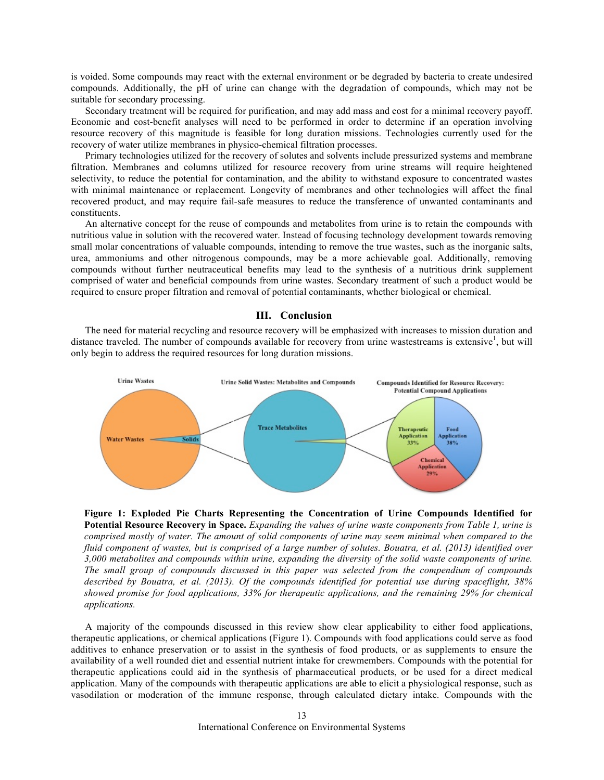is voided. Some compounds may react with the external environment or be degraded by bacteria to create undesired compounds. Additionally, the pH of urine can change with the degradation of compounds, which may not be suitable for secondary processing.

Secondary treatment will be required for purification, and may add mass and cost for a minimal recovery payoff. Economic and cost-benefit analyses will need to be performed in order to determine if an operation involving resource recovery of this magnitude is feasible for long duration missions. Technologies currently used for the recovery of water utilize membranes in physico-chemical filtration processes.

Primary technologies utilized for the recovery of solutes and solvents include pressurized systems and membrane filtration. Membranes and columns utilized for resource recovery from urine streams will require heightened selectivity, to reduce the potential for contamination, and the ability to withstand exposure to concentrated wastes with minimal maintenance or replacement. Longevity of membranes and other technologies will affect the final recovered product, and may require fail-safe measures to reduce the transference of unwanted contaminants and constituents.

An alternative concept for the reuse of compounds and metabolites from urine is to retain the compounds with nutritious value in solution with the recovered water. Instead of focusing technology development towards removing small molar concentrations of valuable compounds, intending to remove the true wastes, such as the inorganic salts, urea, ammoniums and other nitrogenous compounds, may be a more achievable goal. Additionally, removing compounds without further neutraceutical benefits may lead to the synthesis of a nutritious drink supplement comprised of water and beneficial compounds from urine wastes. Secondary treatment of such a product would be required to ensure proper filtration and removal of potential contaminants, whether biological or chemical.

# **III. Conclusion**

The need for material recycling and resource recovery will be emphasized with increases to mission duration and distance traveled. The number of compounds available for recovery from urine wastestreams is extensive<sup>1</sup>, but will only begin to address the required resources for long duration missions.



**Figure 1: Exploded Pie Charts Representing the Concentration of Urine Compounds Identified for Potential Resource Recovery in Space.** *Expanding the values of urine waste components from Table 1, urine is comprised mostly of water. The amount of solid components of urine may seem minimal when compared to the fluid component of wastes, but is comprised of a large number of solutes. Bouatra, et al. (2013) identified over 3,000 metabolites and compounds within urine, expanding the diversity of the solid waste components of urine. The small group of compounds discussed in this paper was selected from the compendium of compounds described by Bouatra, et al. (2013). Of the compounds identified for potential use during spaceflight, 38% showed promise for food applications, 33% for therapeutic applications, and the remaining 29% for chemical applications.* 

A majority of the compounds discussed in this review show clear applicability to either food applications, therapeutic applications, or chemical applications (Figure 1). Compounds with food applications could serve as food additives to enhance preservation or to assist in the synthesis of food products, or as supplements to ensure the availability of a well rounded diet and essential nutrient intake for crewmembers. Compounds with the potential for therapeutic applications could aid in the synthesis of pharmaceutical products, or be used for a direct medical application. Many of the compounds with therapeutic applications are able to elicit a physiological response, such as vasodilation or moderation of the immune response, through calculated dietary intake. Compounds with the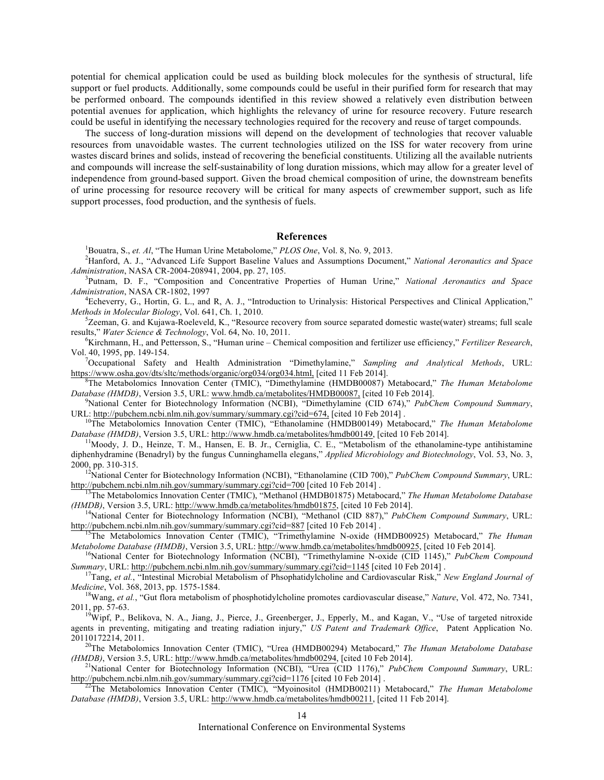potential for chemical application could be used as building block molecules for the synthesis of structural, life support or fuel products. Additionally, some compounds could be useful in their purified form for research that may be performed onboard. The compounds identified in this review showed a relatively even distribution between potential avenues for application, which highlights the relevancy of urine for resource recovery. Future research could be useful in identifying the necessary technologies required for the recovery and reuse of target compounds.

The success of long-duration missions will depend on the development of technologies that recover valuable resources from unavoidable wastes. The current technologies utilized on the ISS for water recovery from urine wastes discard brines and solids, instead of recovering the beneficial constituents. Utilizing all the available nutrients and compounds will increase the self-sustainability of long duration missions, which may allow for a greater level of independence from ground-based support. Given the broad chemical composition of urine, the downstream benefits of urine processing for resource recovery will be critical for many aspects of crewmember support, such as life support processes, food production, and the synthesis of fuels.

## **References**

<sup>1</sup>Bouatra, S., *et. Al*, "The Human Urine Metabolome," *PLOS One*, Vol. 8, No. 9, 2013.

Hanford, A. J., "Advanced Life Support Baseline Values and Assumptions Document," *National Aeronautics and Space Administration*, NASA CR-2004-208941, 2004, pp. 27, 105. <sup>3</sup>

Putnam, D. F., "Composition and Concentrative Properties of Human Urine," *National Aeronautics and Space*  Administration, NASA CR-1802, 1997

Echeverry, G., Hortin, G. L., and R, A. J., "Introduction to Urinalysis: Historical Perspectives and Clinical Application," *Methods in Molecular Biology, Vol. 641, Ch. 1, 2010.* 

 ${}^{5}$ Zeeman, G. and Kujawa-Roeleveld, K., "Resource recovery from source separated domestic waste(water) streams; full scale results," Water Science & Technology, Vol. 64, No. 10, 2011.

Kirchmann, H., and Pettersson, S., "Human urine – Chemical composition and fertilizer use efficiency," *Fertilizer Research*, Vol. 40, 1995, pp. 149-154. <sup>7</sup>

Occupational Safety and Health Administration "Dimethylamine," *Sampling and Analytical Methods*, URL: https://www.osha.gov/dts/sltc/methods/organic/org034/org034.html, [cited 11 Feb 2014].

The Metabolomics Innovation Center (TMIC), "Dimethylamine (HMDB00087) Metabocard," *The Human Metabolome Database (HMDB)*, Version 3.5, URL: www.hmdb.ca/metabolites/HMDB00087, [cited 10 Feb 2014].

National Center for Biotechnology Information (NCBI), "Dimethylamine (CID 674)," *PubChem Compound Summary*,

URL: http://pubchem.ncbi.nlm.nih.gov/summary/summary.cgi?cid=674, [cited 10 Feb 2014] .<br><sup>10</sup>The Metabolomics Innovation Center (TMIC), "Ethanolamine (HMDB00149) Metabocard," *The Human Metabolome Database (HMDB)*, Version 3.5, URL: http://www.hmdb.ca/metabolites/hmdb00149, [cited 10 Feb 2014].<br><sup>11</sup>Moody, J. D., Heinze, T. M., Hansen, E. B. Jr., Cerniglia, C. E., "Metabolism of the ethanolamine-type antihistamine

diphenhydramine (Benadryl) by the fungus Cunninghamella elegans," *Applied Microbiology and Biotechnology*, Vol. 53, No. 3,

2000, pp. 310-315.<br><sup>12</sup>National Center for Biotechnology Information (NCBI), "Ethanolamine (CID 700)," *PubChem Compound Summary*, URL:<br>http://pubchem.ncbi.nlm.nih.gov/summary/summary.cgi?cid=700 [cited 10 Feb 2014].

The Metabolomics Innovation Center (TMIC), "Methanol (HMDB01875) Metabocard," *The Human Metabolome Database (HMDB)*, Version 3.5, URL: http://www.hmdb.ca/metabolites/hmdb01875, [cited 10 Feb 2014].<br><sup>14</sup>National Center for Biotechnology Information (NCBI), "Methanol (CID 887)," *PubChem Compound Summary*, URL:

http://pubchem.ncbi.nlm.nih.gov/summary/summary.cgi?cid=887 [cited 10 Feb 2014] . 15The Metabolomics Innovation Center (TMIC), "Trimethylamine N-oxide (HMDB00925) Metabocard," *The Human*  Metabolome Database (HMDB), Version 3.5, URL: http://www.hmdb.ca/metabolites/hmdb00925, [cited 10 Feb 2014].<br><sup>16</sup>National Center for Biotechnology Information (NCBI), "Trimethylamine N-oxide (CID 1145)," PubChem Compound

Summary, URL: http://pubchem.ncbi.nlm.nih.gov/summary/summary.cgi?cid=1145 [cited 10 Feb 2014].<br><sup>17</sup>Tang, *et al.*, "Intestinal Microbial Metabolism of Phsophatidylcholine and Cardiovascular Risk," New England Journal of

*Medicine*, Vol. 368, 2013, pp. 1575-1584.<br><sup>18</sup>Wang, *et al.*, "Gut flora metabolism of phosphotidylcholine promotes cardiovascular disease," *Nature*, Vol. 472, No. 7341,

2011, pp. 57-63.<br><sup>19</sup>Wipf, P., Belikova, N. A., Jiang, J., Pierce, J., Greenberger, J., Epperly, M., and Kagan, V., "Use of targeted nitroxide

agents in preventing, mitigating and treating radiation injury," *US Patent and Trademark Office*, Patent Application No. 20110172214, 2011. 20The Metabolomics Innovation Center (TMIC), "Urea (HMDB00294) Metabocard," *The Human Metabolome Database* 

*(HMDB)*, Version 3.5, URL: http://www.hmdb.ca/metabolites/hmdb00294, [cited 10 Feb 2014].<br><sup>21</sup>National Center for Biotechnology Information (NCBI), "Urea (CID 1176)," *PubChem Compound Summary*, URL:

http://pubchem.ncbi.nlm.nih.gov/summary/summary.cgi?cid=1176 [cited 10 Feb 2014] . 22The Metabolomics Innovation Center (TMIC), "Myoinositol (HMDB00211) Metabocard," *The Human Metabolome* 

*Database (HMDB)*, Version 3.5, URL: http://www.hmdb.ca/metabolites/hmdb00211, [cited 11 Feb 2014].

International Conference on Environmental Systems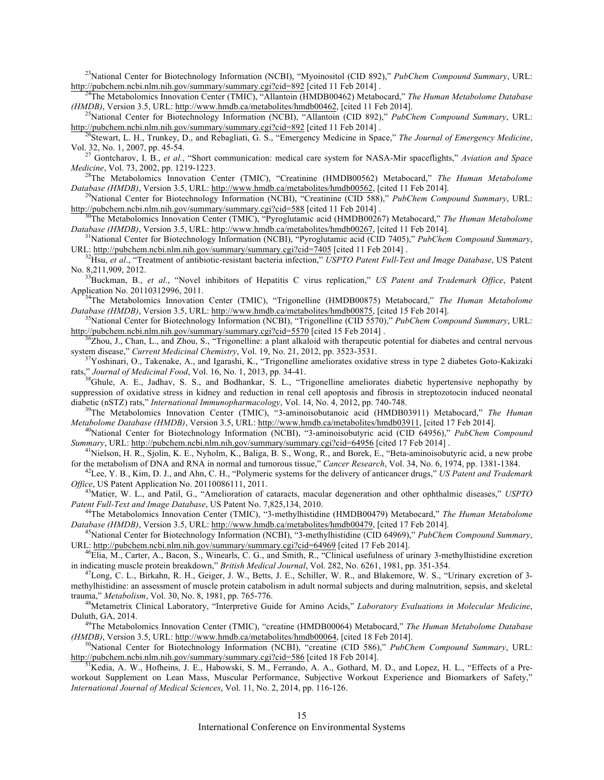<sup>23</sup>National Center for Biotechnology Information (NCBI), "Myoinositol (CID 892)," *PubChem Compound Summary*, URL:<br>http://pubchem.ncbi.nlm.nih.gov/summary/summary.cgi?cid=892 [cited 11 Feb 2014].

<sup>24</sup>The Metabolomics Innovation Center (TMIC), "Allantoin (HMDB00462) Metabocard," *The Human Metabolome Database (HMDB)*, Version 3.5, URL: http://www.hmdb.ca/metabolites/hmdb00462, [cited 11 Feb 2014].<br><sup>25</sup>National Center for Biotechnology Information (NCBI), "Allantoin (CID 892)," *PubChem Compound Summary*, URL:

http://pubchem.ncbi.nlm.nih.gov/summary/summary.cgi?cid=892 [cited 11 Feb 2014] .<br><sup>26</sup>Stewart, L. H., Trunkey, D., and Rebagliati, G. S., "Emergency Medicine in Space," *The Journal of Emergency Medicine*,

Vol. 32, No. 1, 2007, pp. 45-54. <sup>27</sup> Gontcharov, I. B., *et al.*, "Short communication: medical care system for NASA-Mir spaceflights," *Aviation and Space* 

*Medicine*, Vol. 73, 2002, pp. 1219-1223.<br><sup>28</sup>The Metabolomics Innovation Center (TMIC), "Creatinine (HMDB00562) Metabocard," *The Human Metabolome* 

*Database (HMDB)*, Version 3.5, URL: http://www.hmdb.ca/metabolites/hmdb00562, [cited 11 Feb 2014].<br><sup>29</sup>National Center for Biotechnology Information (NCBI), "Creatinine (CID 588)," *PubChem Compound Summary*, URL:

http://pubchem.ncbi.nlm.nih.gov/summary/summary.cgi?cid=588 [cited 11 Feb 2014] .<br><sup>30</sup>The Metabolomics Innovation Center (TMIC), "Pyroglutamic acid (HMDB00267) Metabocard," *The Human Metabolome* 

Database (HMDB), Version 3.5, URL: http://www.hmdb.ca/metabolites/hmdb00267, [cited 11 Feb 2014].<br><sup>31</sup>National Center for Biotechnology Information (NCBI), "Pyroglutamic acid (CID 7405)," PubChem Compound Summary,

URL: http://pubchem.ncbi.nlm.nih.gov/summary/summary.cgi?cid=7405 [cited 11 Feb 2014].<br><sup>32</sup>Hsu, et al., "Treatment of antibiotic-resistant bacteria infection," USPTO Patent Full-Text and Image Database, US Patent

No. 8,211,909, 2012. 33Buckman, B., *et al.*, "Novel inhibitors of Hepatitis C virus replication," *US Patent and Trademark Office*, Patent

Application No. 20110312996, 2011.<br><sup>34</sup>The Metabolomics Innovation Center (TMIC), "Trigonelline (HMDB00875) Metabocard," *The Human Metabolome* 

Database (HMDB), Version 3.5, URL: http://www.hmdb.ca/metabolites/hmdb00875, [cited 15 Feb 2014].<br><sup>35</sup>National Center for Biotechnology Information (NCBI), "Trigonelline (CID 5570)," *PubChem Compound Summary*, URL:<br>http:/

 $^{36}$ Zhou, J., Chan, L., and Zhou, S., "Trigonelline: a plant alkaloid with therapeutic potential for diabetes and central nervous system disease," *Current Medicinal Chemistry*, Vol. 19, No. 21, 2012, pp. 3523-3531.

<sup>37</sup>Yoshinari, O., Takenake, A., and Igarashi, K., "Trigonelline ameliorates oxidative stress in type 2 diabetes Goto-Kakizaki rats," *Journal of Medicinal Food*, Vol. 16, No. 1, 2013, pp. 34-41.<br><sup>38</sup>Ghule, A. E., Jadhav, S. S., and Bodhankar, S. L., "Trigonelline ameliorates diabetic hypertensive nephopathy by

suppression of oxidative stress in kidney and reduction in renal cell apoptosis and fibrosis in streptozotocin induced neonatal

diabetic (nSTZ) rats," *International Immunopharmacology*, Vol. 14, No. 4, 2012, pp. 740-748.<br><sup>39</sup>The Metabolomics Innovation Center (TMIC), "3-aminoisobutanoic acid (HMDB03911) Metabocard," *The Human Metabolome Database* 

<sup>40</sup>National Center for Biotechnology Information (NCBI), "3-aminoisobutyric acid (CID 64956)," PubChem Compound Summary, URL: http://pubchem.ncbi.nlm.nih.gov/summary/summary.cgi?cid=64956 [cited 17 Feb 2014].

<sup>41</sup>Nielson, H. R., Sjolin, K. E., Nyholm, K., Baliga, B. S., Wong, R., and Borek, E., "Beta-aminoisobutyric acid, a new probe for the metabolism of DNA and RNA in normal and tumorous tissue," Cancer Research, Vol. 34, No. 6, 1974, pp. 1381-1384.<br><sup>42</sup>Lee, Y. B., Kim, D. J., and Ahn, C. H., "Polymeric systems for the delivery of anticancer drugs,"

*Office*, US Patent Application No. 20110086111, 2011.<br><sup>43</sup>Matier, W. L., and Patil, G., "Amelioration of cataracts, macular degeneration and other ophthalmic diseases," *USPTO*<br>*Patent Full-Text and Image Database*, US Pa

<sup>44</sup>The Metabolomics Innovation Center (TMIC), "3-methylhistidine (HMDB00479) Metabocard," *The Human Metabolome* Database (HMDB), Version 3.5, URL: http://www.hmdb.ca/metabolites/hmdb00479, [cited 17 Feb 2014].<br><sup>45</sup>National Center for Biotechnology Information (NCBI), "3-methylhistidine (CID 64969)," *PubChem Compound Summary*,

URL: http://pubchem.ncbi.nlm.nih.gov/summary/summary.cgi?cid=64969 [cited 17 Feb 2014].<br><sup>46</sup>Elia, M., Carter, A., Bacon, S., Winearls, C. G., and Smith, R., "Clinical usefulness of urinary 3-methylhistidine excretion<br>in in

 $^{47}$ Long, C. L., Birkahn, R. H., Geiger, J. W., Betts, J. E., Schiller, W. R., and Blakemore, W. S., "Urinary excretion of 3methylhistidine: an assessment of muscle protein catabolism in adult normal subjects and during malnutrition, sepsis, and skeletal trauma," *Metabolism*, Vol. 30, No. 8, 1981, pp. 765-776.<br><sup>48</sup>Metametrix Clinical Laboratory, "Interpretive Guide for Amino Acids," *Laboratory Evaluations in Molecular Medicine*,

Duluth, GA, 2014. 49The Metabolomics Innovation Center (TMIC), "creatine (HMDB00064) Metabocard," *The Human Metabolome Database* 

*(HMDB)*, Version 3.5, URL: http://www.hmdb.ca/metabolites/hmdb00064, [cited 18 Feb 2014].<br><sup>50</sup>National Center for Biotechnology Information (NCBI), "creatine (CID 586)," *PubChem Compound Summary*, URL:

http://pubchem.ncbi.nlm.nih.gov/summary/summary.cgi?cid=586 [cited 18 Feb 2014].<br><sup>51</sup>Kedia, A. W., Hofheins, J. E., Habowski, S. M., Ferrando, A. A., Gothard, M. D., and Lopez, H. L., "Effects of a Pre-

workout Supplement on Lean Mass, Muscular Performance, Subjective Workout Experience and Biomarkers of Safety," *International Journal of Medical Sciences*, Vol. 11, No. 2, 2014, pp. 116-126.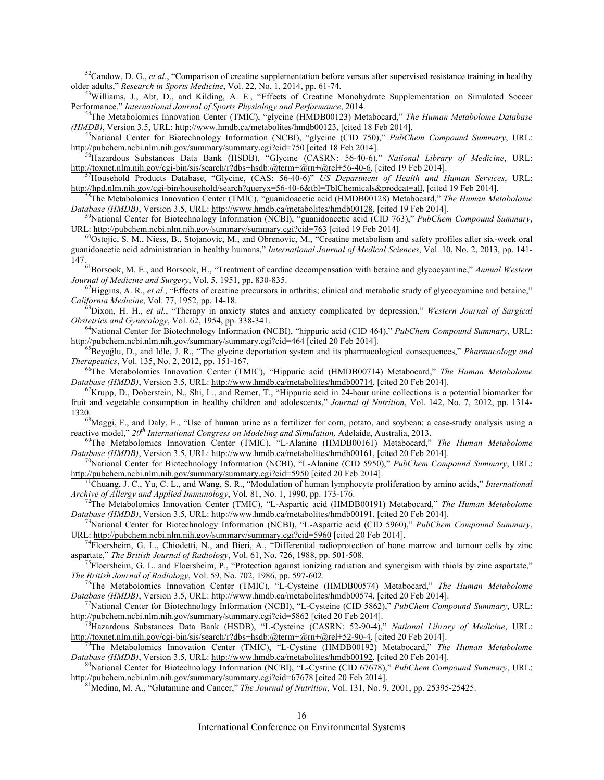$52$ Candow, D. G., *et al.*, "Comparison of creatine supplementation before versus after supervised resistance training in healthy older adults," *Research in Sports Medicine*, Vol. 22, No. 1, 2014, pp. 61-74.

<sup>53</sup>Williams, J., Abt, D., and Kilding, A. E., "Effects of Creatine Monohydrate Supplementation on Simulated Soccer Performance," *International Journal of Sports Physiology and Performance*, 2014. 54The Metabolomics Innovation Center (TMIC), "glycine (HMDB00123) Metabocard," *The Human Metabolome Database* 

*(HMDB)*, Version 3.5, URL: http://www.hmdb.ca/metabolites/hmdb00123, [cited 18 Feb 2014].<br><sup>55</sup>National Center for Biotechnology Information (NCBI), "glycine (CID 750)," *PubChem Compound Summary*, URL:

http://pubchem.ncbi.nlm.nih.gov/summary/summary.cgi?cid=750 [cited 18 Feb 2014].<br><sup>56</sup>Hazardous Substances Data Bank (HSDB), "Glycine (CASRN: 56-40-6)," *National Library of Medicine*, URL:<br>http://toxnet.nlm.nih.gov/cgi-bin

<sup>57</sup>Household Products Database, "Glycine, (CAS: 56-40-6)" *US Department of Health and Human Services*, URL:

http://hpd.nlm.nih.gov/cgi-bin/household/search?queryx=56-40-6&tbl=TblChemicals&prodcat=all, [cited 19 Feb 2014].<br><sup>58</sup>The Metabolomics Innovation Center (TMIC), "guanidoacetic acid (HMDB00128) Metabocard," *The Human Metab* 

<sup>9</sup>National Center for Biotechnology Information (NCBI), "guanidoacetic acid (CID 763)," PubChem Compound Summary, URL: http://pubchem.ncbi.nlm.nih.gov/summary/summary.cgi?cid=763 [cited 19 Feb 2014].<br><sup>60</sup>Ostojic, S. M., Niess, B., Stojanovic, M., and Obrenovic, M., "Creatine metabolism and safety profiles after six-week oral

guanidoacetic acid administration in healthy humans," *International Journal of Medical Sciences*, Vol. 10, No. 2, 2013, pp. 141-

147.61Borsook, M. E., and Borsook, H., "Treatment of cardiac decompensation with betaine and glycocyamine," *Annual Western* 

*Journal of Medicine and Surgery*, Vol. 5, 1951, pp. 830-835.<br><sup>62</sup>Higgins, A. R., *et al.*, "Effects of creatine precursors in arthritis; clinical and metabolic study of glycocyamine and betaine,"<br>*California Medicine*, Vo

<sup>63</sup>Dixon, H. H., *et al.*, "Therapy in anxiety states and anxiety complicated by depression," *Western Journal of Surgical Obstetrics and Gynecology*, Vol. 62, 1954, pp. 338-341.

<sup>64</sup>National Center for Biotechnology Information (NCBI), "hippuric acid (CID 464)," *PubChem Compound Summary*, URL:<br>http://pubchem.ncbi.nlm.nih.gov/summary/summary.cgi?cid=464 [cited 20 Feb 2014].

<sup>5</sup>Beyoğlu, D., and Idle, J. R., "The glycine deportation system and its pharmacological consequences," *Pharmacology and Therapeutics*, Vol. 135, No. 2, 2012, pp. 151-167.<br><sup>66</sup>The Metabolomics Innovation Center (TMIC), "Hippuric acid (HMDB00714) Metabocard," *The Human Metabolome* 

Database (HMDB), Version 3.5, URL: http://www.hmdb.ca/metabolites/hmdb00714, [cited 20 Feb 2014].<br><sup>67</sup>Krupp, D., Doberstein, N., Shi, L., and Remer, T., "Hippuric acid in 24-hour urine collections is a potential biomarker

fruit and vegetable consumption in healthy children and adolescents," *Journal of Nutrition*, Vol. 142, No. 7, 2012, pp. 1314-

1320. <sup>68</sup>Maggi, F., and Daly, E., "Use of human urine as a fertilizer for corn, potato, and soybean: a case-study analysis using a reactive model,"  $20^{th}$  International Congress on Modeling and Simulation, Adelaide, Aus

<sup>69</sup>The Metabolomics Innovation Center (TMIC), "L-Alanine (HMDB00161) Metabocard," The Human Metabolome *Database (HMDB)*, Version 3.5, URL: http://www.hmdb.ca/metabolites/hmdb00161, [cited 20 Feb 2014].<br><sup>70</sup>National Center for Biotechnology Information (NCBI), "L-Alanine (CID 5950)," *PubChem Compound Summary*, URL:

http://pubchem.ncbi.nlm.nih.gov/summary/summary.cgi?cid=5950 [cited 20 Feb 2014]. 71Chuang, J. C., Yu, C. L., and Wang, S. R., "Modulation of human lymphocyte proliferation by amino acids," *International* 

*Archive of Allergy and Applied Immunology*, Vol. 81, No. 1, 1990, pp. 173-176.<br><sup>72</sup>The Metabolomics Innovation Center (TMIC), "L-Aspartic acid (HMDB00191) Metabocard," *The Human Metabolome*<br>*Database (HMDB)*, Version 3.5

<sup>73</sup>National Center for Biotechnology Information (NCBI), "L-Aspartic acid (CID 5960)," *PubChem Compound Summary*, URL: http://pubchem.ncbi.nlm.nih.gov/summary/summary.cgi?cid=5960 [cited 20 Feb 2014]. 74Floersheim, G. L., Chiodetti, N., and Bieri, A., "Differential radioprotection of bone marrow and tumour cells by zinc

aspartate," *The British Journal of Radiology*, Vol. 61, No. 726, 1988, pp. 501-508. *75*Floersheim, G. L. and Floersheim, P., "Protection against ionizing radiation and synergism with thiols by zinc aspartate,"

*The British Journal of Radiology*, Vol. 59, No. 702, 1986, pp. 597-602.<br><sup>76</sup>The Metabolomics Innovation Center (TMIC), "L-Cysteine (HMDB00574) Metabocard," *The Human Metabolome Database (HMDB)*, Version 3.5, URL: http://

<sup>7</sup>National Center for Biotechnology Information (NCBI), "L-Cysteine (CID 5862)," *PubChem Compound Summary*, URL: http://pubchem.ncbi.nlm.nih.gov/summary/summary.cgi?cid=5862 [cited 20 Feb 2014].<br><sup>78</sup>Hazardous Substances Data Bank (HSDB), "L-Cysteine (CASRN: 52-90-4)," *National Library of Medicine*, URL:

http://toxnet.nlm.nih.gov/cgi-bin/sis/search/r?dbs+hsdb:@term+@rn+@rel+52-90-4, [cited 20 Feb 2014]. 79The Metabolomics Innovation Center (TMIC), "L-Cystine (HMDB00192) Metabocard," *The Human Metabolome* 

*Database (HMDB)*, Version 3.5, URL: http://www.hmdb.ca/metabolites/hmdb00192, [cited 20 Feb 2014].<br><sup>80</sup>National Center for Biotechnology Information (NCBI), "L-Cystine (CID 67678)," *PubChem Compound Summary*, URL:

http://pubchem.ncbi.nlm.nih.gov/summary/summary.cgi?cid=67678 [cited 20 Feb 2014].<br><sup>81</sup>Medina, M. A., "Glutamine and Cancer," *The Journal of Nutrition*, Vol. 131, No. 9, 2001, pp. 25395-25425.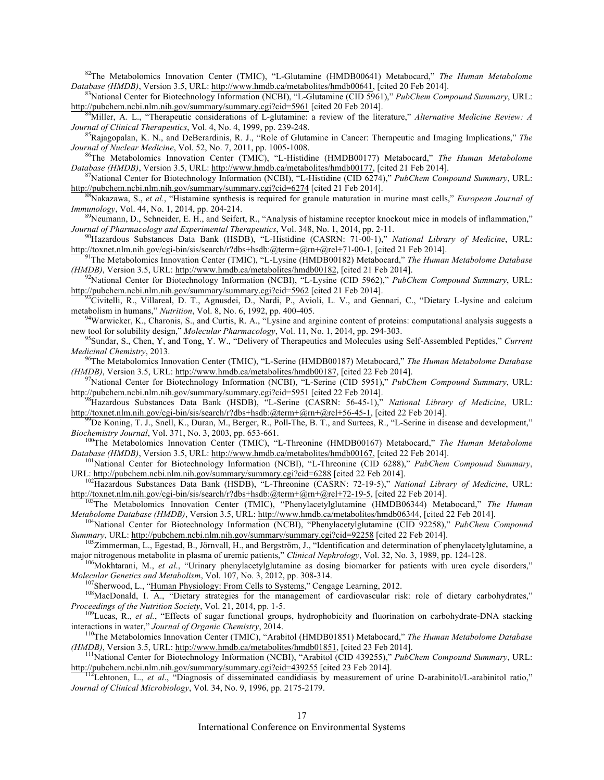<sup>82</sup>The Metabolomics Innovation Center (TMIC), "L-Glutamine (HMDB00641) Metabocard," *The Human Metabolome Database (HMDB)*, Version 3.5, URL: http://www.hmdb.ca/metabolites/hmdb00641, [cited 20 Feb 2014].

<sup>83</sup>National Center for Biotechnology Information (NCBI), "L-Glutamine (CID 5961)," *PubChem Compound Summary*, URL: http://pubchem.ncbi.nlm.nih.gov/summary/summary.cgi?cid=5961 [cited 20 Feb 2014].<br><sup>84</sup>Miller, A. L., "Therapeutic considerations of L-glutamine: a review of the literature," *Alternative Medicine Review: A* 

*Journal of Clinical Therapeutics*, Vol. 4, No. 4, 1999, pp. 239-248.<br><sup>85</sup>Rajagopalan, K. N., and DeBerardinis, R. J., "Role of Glutamine in Cancer: Therapeutic and Imaging Implications," *The Journal of Nuclear Medicine*,

<sup>86</sup>The Metabolomics Innovation Center (TMIC), "L-Histidine (HMDB00177) Metabocard," *The Human Metabolome Database (HMDB)*, Version 3.5, URL: http://www.hmdb.ca/metabolites/hmdb00177, [cited 21 Feb 2014].

<sup>87</sup>National Center for Biotechnology Information (NCBI), "L-Histidine (CID 6274)," *PubChem Compound Summary*, URL: http://pubchem.ncbi.nlm.nih.gov/summary/summary.cgi?cid=6274 [cited 21 Feb 2014].<br><sup>88</sup>Nakazawa, S., *et al.*, "Histamine synthesis is required for granule maturation in murine mast cells," *European Journal of* 

*Immunology*, Vol. 44, No. 1, 2014, pp. 204-214.<br><sup>89</sup>Neumann, D., Schneider, E. H., and Seifert, R., "Analysis of histamine receptor knockout mice in models of inflammation."

*Journal of Pharmacology and Experimental Therapeutics*, Vol. 348, No. 1, 2014, pp. 2-11.<br><sup>90</sup>Hazardous Substances Data Bank (HSDB), "L-Histidine (CASRN: 71-00-1)," *National Library of Medicine*, URL:<br>http://toxnet.nlm.ni

<sup>91</sup>The Metabolomics Innovation Center (TMIC), "L-Lysine (HMDB00182) Metabocard," *The Human Metabolome Database (HMDB)*, Version 3.5, URL: http://www.hmdb.ca/metabolites/hmdb00182, [cited 21 Feb 2014].<br><sup>92</sup>National Center for Biotechnology Information (NCBI), "L-Lysine (CID 5962)," *PubChem Compound Summary*, URL:

http://pubchem.ncbi.nlm.nih.gov/summary/summary.cgi?cid=5962 [cited 21 Feb 2014].<br><sup>93</sup>Civitelli, R., Villareal, D. T., Agnusdei, D., Nardi, P., Avioli, L. V., and Gennari, C., "Dietary L-lysine and calcium metabolism in hu

<sup>94</sup>Warwicker, K., Charonis, S., and Curtis, R. A., "Lysine and arginine content of proteins: computational analysis suggests a new tool for solubility design," *Molecular Pharmacology*, Vol. 11, No. 1, 2014, pp. 294-303.

<sup>95</sup>Sundar, S., Chen, Y, and Tong, Y. W., "Delivery of Therapeutics and Molecules using Self-Assembled Peptides," Current Medicinal Chemistry, 2013.

*Medicinal Chemistry*, 2013. 96The Metabolomics Innovation Center (TMIC), "L-Serine (HMDB00187) Metabocard," *The Human Metabolome Database* 

*(HMDB)*, Version 3.5, URL: http://www.hmdb.ca/metabolites/hmdb00187, [cited 22 Feb 2014].<br><sup>97</sup>National Center for Biotechnology Information (NCBI), "L-Serine (CID 5951)," *PubChem Compound Summary*, URL:<br>http://pubchem.nc

<sup>8</sup>Hazardous Substances Data Bank (HSDB), "L-Serine (CASRN: 56-45-1)," *National Library of Medicine*, URL:

http://toxnet.nlm.nih.gov/cgi-bin/sis/search/r?dbs+hsdb:@term+@rn+@rel+56-45-1, [cited 22 Feb 2014].<br><sup>99</sup>De Koning, T. J., Snell, K., Duran, M., Berger, R., Poll-The, B. T., and Surtees, R., "L-Serine in disease and develo

<sup>100</sup>The Metabolomics Innovation Center (TMIC), "L-Threonine (HMDB00167) Metabocard," *The Human Metabolome* Database (HMDB), Version 3.5, URL: http://www.hmdb.ca/metabolites/hmdb00167, [cited 22 Feb 2014].<br><sup>101</sup>National Center for Biotechnology Information (NCBI), "L-Threonine (CID 6288)," *PubChem Compound Summary*,

URL: http://pubchem.ncbi.nlm.nih.gov/summary/summary.cgi?cid=6288 [cited 22 Feb 2014]. 102Hazardous Substances Data Bank (HSDB), "L-Threonine (CASRN: 72-19-5)," *National Library of Medicine*, URL:

http://toxnet.nlm.nih.gov/cgi-bin/sis/search/r?dbs+hsdb:@term+@rn+@rel+72-19-5, [cited 22 Feb 2014]. 103The Metabolomics Innovation Center (TMIC), "Phenylacetylglutamine (HMDB06344) Metabocard," *The Human* 

Metabolome Database (HMDB), Version 3.5, URL: http://www.hmdb.ca/metabolites/hmdb06344, [cited 22 Feb 2014].<br><sup>104</sup>National Center for Biotechnology Information (NCBI), "Phenylacetylglutamine (CID 92258)," PubChem Compound

Summary, URL: http://pubchem.ncbi.nlm.nih.gov/summary/summary.cgi?cid=92258 [cited 22 Feb 2014].<br><sup>105</sup>Zimmerman, L., Egestad, B., Jörnvall, H., and Bergström, J., "Identification and determination of phenylacetylglutamine,

<sup>106</sup>Mokhtarani, M., et al., "Urinary phenylacetylglutamine as dosing biomarker for patients with urea cycle disorders,"<br>Molecular Genetics and Metabolism, Vol. 107, No. 3, 2012, pp. 308-314.

<sup>107</sup>Sherwood, L., "Human Physiology: From Cells to Systems," Cengage Learning, 2012.<br><sup>108</sup>MacDonald, I. A., "Dietary strategies for the management of cardiovascular risk: role of dietary carbohydrates,"<br>*Proceedings of t* 

<sup>109</sup>Lucas, R., *et al.*, "Effects of sugar functional groups, hydrophobicity and fluorination on carbohydrate-DNA stacking interactions in water," *Journal of Organic Chemistry*, 2014.<br><sup>110</sup>The Metabolomics Innovation Center (TMIC), "Arabitol (HMDB01851) Metabocard," *The Human Metabolome Database* 

*(HMDB)*, Version 3.5, URL: http://www.hmdb.ca/metabolites/hmdb01851, [cited 23 Feb 2014].<br><sup>111</sup>National Center for Biotechnology Information (NCBI), "Arabitol (CID 439255)," *PubChem Compound Summary*, URL:<br>http://pubchem

<sup>112</sup>Lehtonen, L., *et al.*, "Diagnosis of disseminated candidiasis by measurement of urine D-arabinitol/L-arabinitol ratio," *Journal of Clinical Microbiology*, Vol. 34, No. 9, 1996, pp. 2175-2179.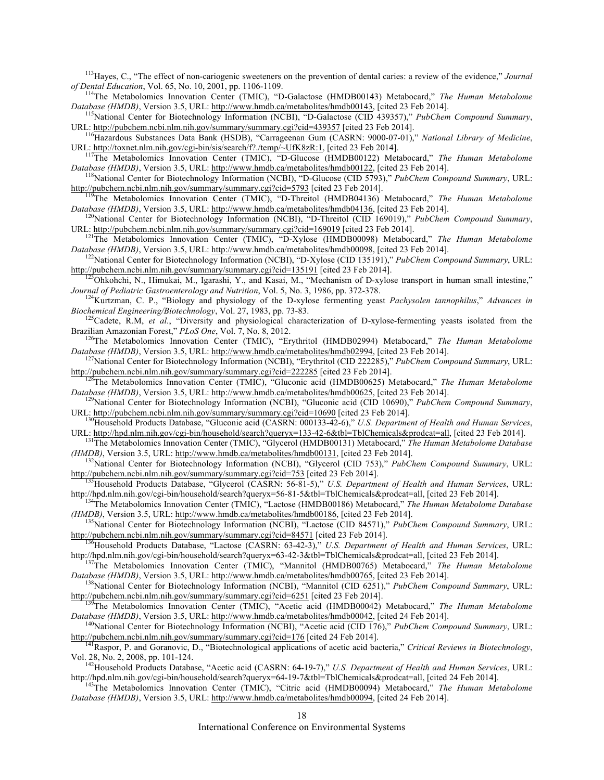<sup>113</sup>Hayes, C., "The effect of non-cariogenic sweeteners on the prevention of dental caries: a review of the evidence," *Journal* of Dental Education, Vol. 65, No. 10, 2001, pp. 1106-1109.

<sup>114</sup>The Metabolomics Innovation Center (TMIC), "D-Galactose (HMDB00143) Metabocard," *The Human Metabolome Database (HMDB)*, Version 3.5, URL: http://www.hmdb.ca/metabolites/hmdb00143, [cited 23 Feb 2014].

<sup>115</sup>National Center for Biotechnology Information (NCBI), "D-Galactose (CID 439357)," *PubChem Compound Summary*, URL: http://pubchem.ncbi.nlm.nih.gov/summary/summary.cgi?cid=439357 [cited 23 Feb 2014]. 116Hazardous Substances Data Bank (HSDB), "Carrageenan Gum (CASRN: 9000-07-01)," *National Library of Medicine*,

URL: http://toxnet.nlm.nih.gov/cgi-bin/sis/search/f?./temp/~UfK8zR:1, [cited 23 Feb 2014].<br><sup>117</sup>The Metabolomics Innovation Center (TMIC), "D-Glucose (HMDB00122) Metabocard," *The Human Metabolome*<br>*Database (HMDB)*, Versi

<sup>118</sup>National Center for Biotechnology Information (NCBI), "D-Glucose (CID 5793)," *PubChem Compound Summary*, URL: http://pubchem.ncbi.nlm.nih.gov/summary/summary.cgi?cid=5793 [cited 23 Feb 2014]. 119The Metabolomics Innovation Center (TMIC), "D-Threitol (HMDB04136) Metabocard," *The Human Metabolome* 

*Database (HMDB)*, Version 3.5, URL: http://www.hmdb.ca/metabolites/hmdb04136, [cited 23 Feb 2014].<br><sup>120</sup>National Center for Biotechnology Information (NCBI), "D-Threitol (CID 169019)," *PubChem Compound Summary*,<br>URL: htt

<sup>121</sup>The Metabolomics Innovation Center (TMIC), "D-Xylose (HMDB00098) Metabocard," *The Human Metabolome Database (HMDB)*, Version 3.5, URL: http://www.hmdb.ca/metabolites/hmdb00098, [cited 23 Feb 2014]. 122National Center for Biotechnology Information (NCBI), "D-Xylose (CID 135191)," *PubChem Compound Summary*, URL:

http://pubchem.ncbi.nlm.nih.gov/summary/summary.cgi?cid=135191 [cited 23 Feb 2014].<br><sup>123</sup>Ohkohchi, N., Himukai, M., Igarashi, Y., and Kasai, M., "Mechanism of D-xylose transport in human small intestine,"

*Journal of Pediatric Gastroenterology and Nutrition*, Vol. 5, No. 3, 1986, pp. 372-378.<br><sup>124</sup>Kurtzman, C. P., "Biology and physiology of the D-xylose fermenting yeast *Pachysolen tannophilus*," *Advances in*<br>*Biochemical* 

<sup>125</sup>Cadete, R.M, *et al.*, "Diversity and physiological characterization of D-xylose-fermenting yeasts isolated from the Brazilian Amazonian Forest," *PLoS One*, Vol. 7, No. 8, 2012.

<sup>126</sup>The Metabolomics Innovation Center (TMIC), "Erythritol (HMDB02994) Metabocard," *The Human Metabolome Database (HMDB)*, Version 3.5, URL: http://www.hmdb.ca/metabolites/hmdb02994, [cited 23 Feb 2014].

<sup>127</sup>National Center for Biotechnology Information (NCBI), "Erythritol (CID 222285)," PubChem Compound Summary, URL: http://pubchem.ncbi.nlm.nih.gov/summary/summary.cgi?cid=222285 [cited 23 Feb 2014]. 128The Metabolomics Innovation Center (TMIC), "Gluconic acid (HMDB00625) Metabocard," *The Human Metabolome* 

*Database (HMDB)*, Version 3.5, URL: http://www.hmdb.ca/metabolites/hmdb00625, [cited 23 Feb 2014]. 129National Center for Biotechnology Information (NCBI), "Gluconic acid (CID 10690)," *PubChem Compound Summary*,

URL: http://pubchem.ncbi.nlm.nih.gov/summary/summary.cgi?cid=10690 [cited 23 Feb 2014].<br><sup>130</sup>Household Products Database, "Gluconic acid (CASRN: 000133-42-6)," *U.S. Department of Health and Human Services*,<br>URL: http://hp

<sup>131</sup>The Metabolomics Innovation Center (TMIC), "Glycerol (HMDB00131) Metabocard," The Human Metabolome Database *(HMDB)*, Version 3.5, URL: http://www.hmdb.ca/metabolites/hmdb00131, [cited 23 Feb 2014]. 132National Center for Biotechnology Information (NCBI), "Glycerol (CID 753)," *PubChem Compound Summary*, URL:

http://pubchem.ncbi.nlm.nih.gov/summary/summary.cgi?cid=753 [cited 23 Feb 2014].<br><sup>133</sup>Household Products Database, "Glycerol (CASRN: 56-81-5)," *U.S. Department of Health and Human Services*, URL:<br>http://hpd.nlm.nih.gov/cg

<sup>134</sup>The Metabolomics Innovation Center (TMIC), "Lactose (HMDB00186) Metabocard," The Human Metabolome Database<br>(HMDB), Version 3.5, URL: http://www.hmdb.ca/metabolites/hmdb00186, [cited 23 Feb 2014].

<sup>135</sup>National Center for Biotechnology Information (NCBI), "Lactose (CID 84571)," *PubChem Compound Summary*, URL: http://pubchem.ncbi.nlm.nih.gov/summary/summary.cgi?cid=84571 [cited 23 Feb 2014]. 136Household Products Database, "Lactose (CASRN: 63-42-3)," *U.S. Department of Health and Human Services*, URL:

http://hpd.nlm.nih.gov/cgi-bin/household/search?queryx=63-42-3&tbl=TblChemicals&prodcat=all, [cited 23 Feb 2014]. 137The Metabolomics Innovation Center (TMIC), "Mannitol (HMDB00765) Metabocard," *The Human Metabolome* 

Database (HMDB), Version 3.5, URL: http://www.hmdb.ca/metabolites/hmdb00765, [cited 23 Feb 2014].<br><sup>138</sup>National Center for Biotechnology Information (NCBI), "Mannitol (CID 6251)," *PubChem Compound Summary*, URL:<br>http://pu

<sup>139</sup>The Metabolomics Innovation Center (TMIC), "Acetic acid (HMDB00042) Metabocard," *The Human Metabolome Database (HMDB)*, Version 3.5, URL: http://www.hmdb.ca/metabolites/hmdb00042, [cited 24 Feb 2014].<br><sup>140</sup>National Center for Biotechnology Information (NCBI), "Acetic acid (CID 176)," *PubChem Compound Summary*, URL:

http://pubchem.ncbi.nlm.nih.gov/summary/summary.cgi?cid=176 [cited 24 Feb 2014]. 141Raspor, P. and Goranovic, D., "Biotechnological applications of acetic acid bacteria," *Critical Reviews in Biotechnology*,

Vol. 28, No. 2, 2008, pp. 101-124. 142Household Products Database, "Acetic acid (CASRN: 64-19-7)," *U.S. Department of Health and Human Services*, URL:

<sup>143</sup>The Metabolomics Innovation Center (TMIC), "Citric acid (HMDB00094) Metabocard," The Human Metabolome *Database (HMDB)*, Version 3.5, URL: http://www.hmdb.ca/metabolites/hmdb00094, [cited 24 Feb 2014].

International Conference on Environmental Systems